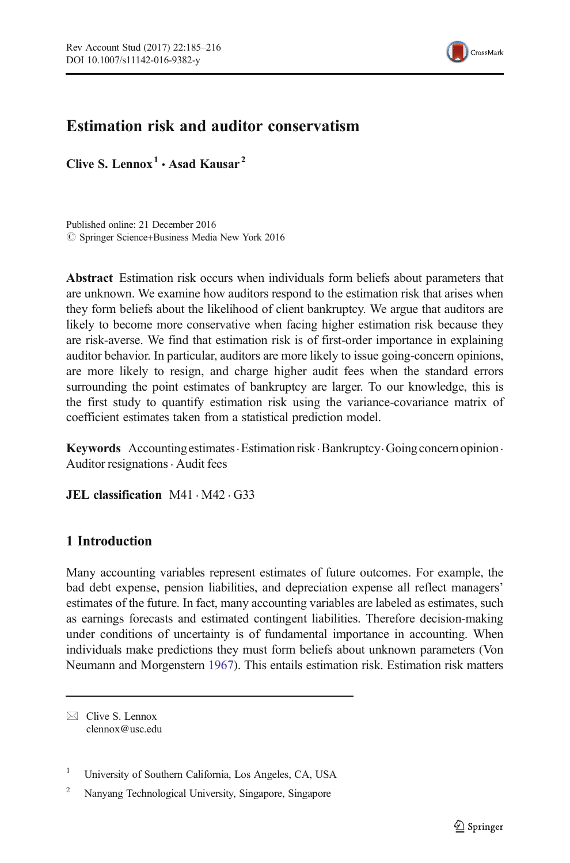

## Estimation risk and auditor conservatism

Clive S. Lennox<sup>1</sup>  $\cdot$  Asad Kausar<sup>2</sup>

Published online: 21 December 2016  $\oslash$  Springer Science+Business Media New York 2016

Abstract Estimation risk occurs when individuals form beliefs about parameters that are unknown. We examine how auditors respond to the estimation risk that arises when they form beliefs about the likelihood of client bankruptcy. We argue that auditors are likely to become more conservative when facing higher estimation risk because they are risk-averse. We find that estimation risk is of first-order importance in explaining auditor behavior. In particular, auditors are more likely to issue going-concern opinions, are more likely to resign, and charge higher audit fees when the standard errors surrounding the point estimates of bankruptcy are larger. To our knowledge, this is the first study to quantify estimation risk using the variance-covariance matrix of coefficient estimates taken from a statistical prediction model.

Keywords Accounting estimates · Estimation risk · Bankruptcy · Going concern opinion · Auditor resignations. Audit fees

**JEL classification**  $M41 \cdot M42 \cdot G33$ 

### 1 Introduction

Many accounting variables represent estimates of future outcomes. For example, the bad debt expense, pension liabilities, and depreciation expense all reflect managers' estimates of the future. In fact, many accounting variables are labeled as estimates, such as earnings forecasts and estimated contingent liabilities. Therefore decision-making under conditions of uncertainty is of fundamental importance in accounting. When individuals make predictions they must form beliefs about unknown parameters (Von Neumann and Morgenstern [1967](#page-31-0)). This entails estimation risk. Estimation risk matters

 $\boxtimes$  Clive S. Lennox clennox@usc.edu

<sup>1</sup> University of Southern California, Los Angeles, CA, USA

<sup>2</sup> Nanyang Technological University, Singapore, Singapore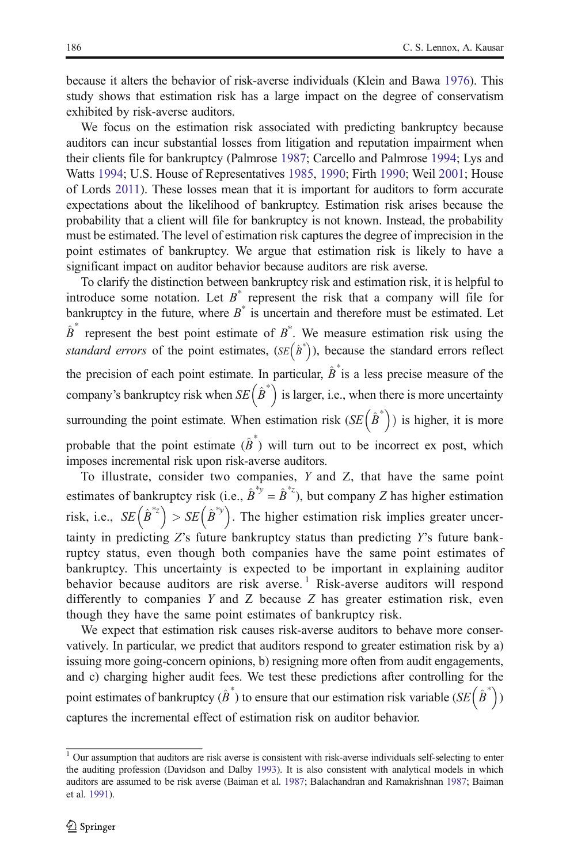because it alters the behavior of risk-averse individuals (Klein and Bawa [1976](#page-31-0)). This study shows that estimation risk has a large impact on the degree of conservatism exhibited by risk-averse auditors.

We focus on the estimation risk associated with predicting bankruptcy because auditors can incur substantial losses from litigation and reputation impairment when their clients file for bankruptcy (Palmrose [1987](#page-31-0); Carcello and Palmrose [1994](#page-30-0); Lys and Watts [1994](#page-31-0); U.S. House of Representatives [1985,](#page-31-0) [1990](#page-31-0); Firth [1990;](#page-30-0) Weil [2001](#page-31-0); House of Lords [2011](#page-30-0)). These losses mean that it is important for auditors to form accurate expectations about the likelihood of bankruptcy. Estimation risk arises because the probability that a client will file for bankruptcy is not known. Instead, the probability must be estimated. The level of estimation risk captures the degree of imprecision in the point estimates of bankruptcy. We argue that estimation risk is likely to have a significant impact on auditor behavior because auditors are risk averse.

To clarify the distinction between bankruptcy risk and estimation risk, it is helpful to introduce some notation. Let  $B^*$  represent the risk that a company will file for bankruptcy in the future, where  $B^*$  is uncertain and therefore must be estimated. Let  $\hat{B}^*$  represent the best point estimate of  $B^*$ . We measure estimation risk using the standard errors of the point estimates,  $(SE(\hat{B}^*))$ , because the standard errors reflect the precision of each point estimate. In particular,  $\hat{B}^*$  is a less precise measure of the company's bankruptcy risk when  $SE(\hat{B}^*)$  is larger, i.e., when there is more uncertainty surrounding the point estimate. When estimation risk  $(SE(\hat{B}^*))$  is higher, it is more probable that the point estimate  $(\hat{B}^*)$  will turn out to be incorrect ex post, which imposes incremental risk upon risk-averse auditors.

To illustrate, consider two companies, Y and Z, that have the same point estimates of bankruptcy risk (i.e.,  $\hat{B}^{*y} = \hat{B}^{*z}$ ), but company Z has higher estimation risk, i.e.,  $SE(\hat{B}^{*z} > SE(\hat{B}^{*y})$ . The higher estimation risk implies greater uncertainty in predicting Z's future bankruptcy status than predicting Y's future bankruptcy status, even though both companies have the same point estimates of bankruptcy. This uncertainty is expected to be important in explaining auditor behavior because auditors are risk averse.<sup>1</sup> Risk-averse auditors will respond differently to companies Y and Z because Z has greater estimation risk, even though they have the same point estimates of bankruptcy risk.

We expect that estimation risk causes risk-averse auditors to behave more conservatively. In particular, we predict that auditors respond to greater estimation risk by a) issuing more going-concern opinions, b) resigning more often from audit engagements, and c) charging higher audit fees. We test these predictions after controlling for the point estimates of bankruptcy  $(\hat{B}^*)$  to ensure that our estimation risk variable  $(SE(\hat{B}^*))$ captures the incremental effect of estimation risk on auditor behavior.

<sup>&</sup>lt;sup>1</sup> Our assumption that auditors are risk averse is consistent with risk-averse individuals self-selecting to enter the auditing profession (Davidson and Dalby [1993](#page-30-0)). It is also consistent with analytical models in which auditors are assumed to be risk averse (Baiman et al. [1987;](#page-30-0) Balachandran and Ramakrishnan [1987;](#page-30-0) Baiman et al. [1991](#page-30-0)).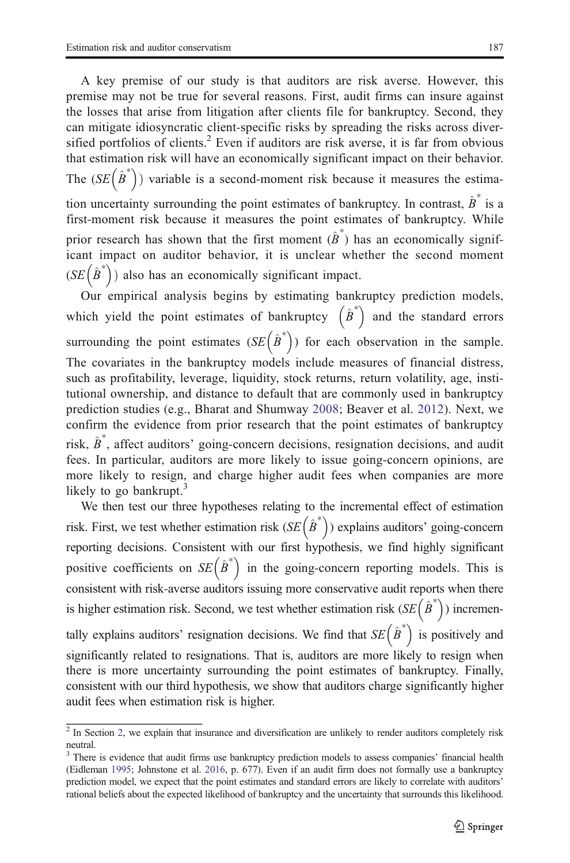A key premise of our study is that auditors are risk averse. However, this premise may not be true for several reasons. First, audit firms can insure against the losses that arise from litigation after clients file for bankruptcy. Second, they can mitigate idiosyncratic client-specific risks by spreading the risks across diversified portfolios of clients.<sup>2</sup> Even if auditors are risk averse, it is far from obvious that estimation risk will have an economically significant impact on their behavior. The  $(SE(\hat{B}^*)$  variable is a second-moment risk because it measures the estimation uncertainty surrounding the point estimates of bankruptcy. In contrast,  $\hat{B}^*$  is a first-moment risk because it measures the point estimates of bankruptcy. While prior research has shown that the first moment  $(\hat{\beta}^*)$  has an economically significant impact on auditor behavior, it is unclear whether the second moment  $(SE(\hat{B}^*))$  also has an economically significant impact.

Our empirical analysis begins by estimating bankruptcy prediction models, which yield the point estimates of bankruptcy  $(\hat{B}^*)$  and the standard errors surrounding the point estimates  $(SE(\hat{B}^*))$  for each observation in the sample. The covariates in the bankruptcy models include measures of financial distress, such as profitability, leverage, liquidity, stock returns, return volatility, age, institutional ownership, and distance to default that are commonly used in bankruptcy prediction studies (e.g., Bharat and Shumway [2008](#page-30-0); Beaver et al. [2012](#page-30-0)). Next, we confirm the evidence from prior research that the point estimates of bankruptcy risk,  $\hat{B}^*$ , affect auditors' going-concern decisions, resignation decisions, and audit fees. In particular, auditors are more likely to issue going-concern opinions, are more likely to resign, and charge higher audit fees when companies are more likely to go bankrupt.<sup>3</sup>

We then test our three hypotheses relating to the incremental effect of estimation risk. First, we test whether estimation risk  $(SE(\hat{B}^*))$  explains auditors' going-concern reporting decisions. Consistent with our first hypothesis, we find highly significant positive coefficients on  $SE(\hat{B}^*)$  in the going-concern reporting models. This is consistent with risk-averse auditors issuing more conservative audit reports when there is higher estimation risk. Second, we test whether estimation risk  $(SE(\hat{B}^*))$  incrementally explains auditors' resignation decisions. We find that  $SE(\hat{B}^*)$  is positively and significantly related to resignations. That is, auditors are more likely to resign when there is more uncertainty surrounding the point estimates of bankruptcy. Finally, consistent with our third hypothesis, we show that auditors charge significantly higher audit fees when estimation risk is higher.

<sup>&</sup>lt;sup>2</sup> In Section [2,](#page-4-0) we explain that insurance and diversification are unlikely to render auditors completely risk neutral.

<sup>&</sup>lt;sup>3</sup> There is evidence that audit firms use bankruptcy prediction models to assess companies' financial health (Eidleman [1995](#page-30-0); Johnstone et al. [2016,](#page-31-0) p. 677). Even if an audit firm does not formally use a bankruptcy prediction model, we expect that the point estimates and standard errors are likely to correlate with auditors' rational beliefs about the expected likelihood of bankruptcy and the uncertainty that surrounds this likelihood.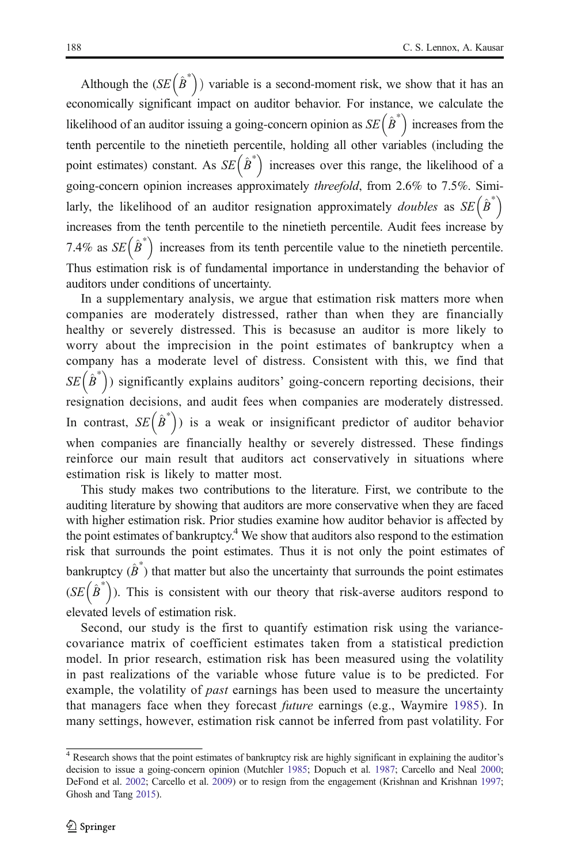Although the  $(SE(\hat{B}^*))$  variable is a second-moment risk, we show that it has an economically significant impact on auditor behavior. For instance, we calculate the likelihood of an auditor issuing a going-concern opinion as  $SE(\hat{B}^*)$  increases from the tenth percentile to the ninetieth percentile, holding all other variables (including the point estimates) constant. As  $SE(\hat{B}^*)$  increases over this range, the likelihood of a going-concern opinion increases approximately threefold, from 2.6% to 7.5%. Similarly, the likelihood of an auditor resignation approximately *doubles* as  $SE(\hat{B}^*)$ increases from the tenth percentile to the ninetieth percentile. Audit fees increase by 7.4% as  $SE(\hat{B}^*)$  increases from its tenth percentile value to the ninetieth percentile. Thus estimation risk is of fundamental importance in understanding the behavior of auditors under conditions of uncertainty.

In a supplementary analysis, we argue that estimation risk matters more when companies are moderately distressed, rather than when they are financially healthy or severely distressed. This is becasuse an auditor is more likely to worry about the imprecision in the point estimates of bankruptcy when a company has a moderate level of distress. Consistent with this, we find that  $SE(\hat{B}^*)$  significantly explains auditors' going-concern reporting decisions, their resignation decisions, and audit fees when companies are moderately distressed. In contrast,  $SE(\hat{B}^*)$  is a weak or insignificant predictor of auditor behavior when companies are financially healthy or severely distressed. These findings reinforce our main result that auditors act conservatively in situations where estimation risk is likely to matter most.

This study makes two contributions to the literature. First, we contribute to the auditing literature by showing that auditors are more conservative when they are faced with higher estimation risk. Prior studies examine how auditor behavior is affected by the point estimates of bankruptcy.<sup>4</sup> We show that auditors also respond to the estimation risk that surrounds the point estimates. Thus it is not only the point estimates of bankruptcy  $(\hat{B}^*)$  that matter but also the uncertainty that surrounds the point estimates  $(SE(\hat{B}^*))$ . This is consistent with our theory that risk-averse auditors respond to elevated levels of estimation risk.

Second, our study is the first to quantify estimation risk using the variancecovariance matrix of coefficient estimates taken from a statistical prediction model. In prior research, estimation risk has been measured using the volatility in past realizations of the variable whose future value is to be predicted. For example, the volatility of *past* earnings has been used to measure the uncertainty that managers face when they forecast *future* earnings (e.g., Waymire [1985\)](#page-31-0). In many settings, however, estimation risk cannot be inferred from past volatility. For

<sup>4</sup> Research shows that the point estimates of bankruptcy risk are highly significant in explaining the auditor's decision to issue a going-concern opinion (Mutchler [1985](#page-31-0); Dopuch et al. [1987;](#page-30-0) Carcello and Neal [2000](#page-30-0); DeFond et al. [2002](#page-30-0); Carcello et al. [2009](#page-30-0)) or to resign from the engagement (Krishnan and Krishnan [1997](#page-31-0); Ghosh and Tang [2015](#page-30-0)).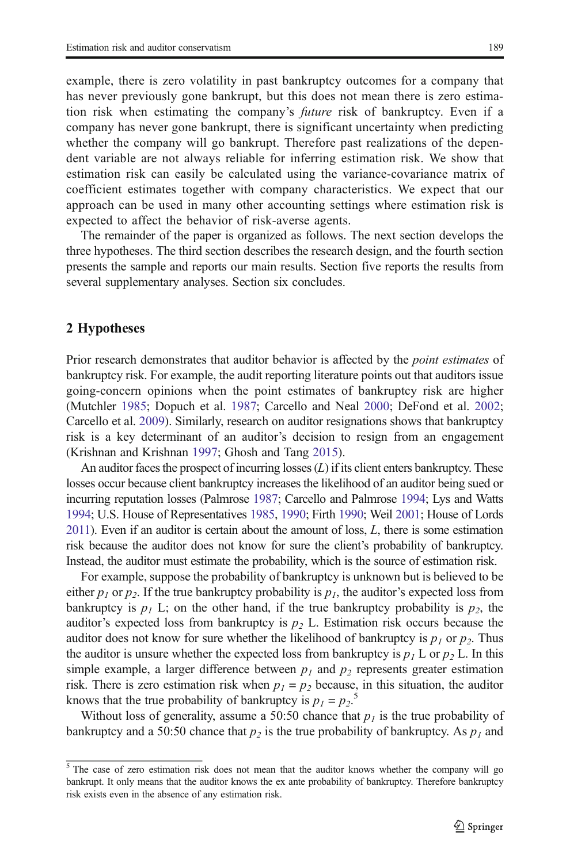<span id="page-4-0"></span>example, there is zero volatility in past bankruptcy outcomes for a company that has never previously gone bankrupt, but this does not mean there is zero estimation risk when estimating the company's future risk of bankruptcy. Even if a company has never gone bankrupt, there is significant uncertainty when predicting whether the company will go bankrupt. Therefore past realizations of the dependent variable are not always reliable for inferring estimation risk. We show that estimation risk can easily be calculated using the variance-covariance matrix of coefficient estimates together with company characteristics. We expect that our approach can be used in many other accounting settings where estimation risk is expected to affect the behavior of risk-averse agents.

The remainder of the paper is organized as follows. The next section develops the three hypotheses. The third section describes the research design, and the fourth section presents the sample and reports our main results. Section five reports the results from several supplementary analyses. Section six concludes.

#### 2 Hypotheses

Prior research demonstrates that auditor behavior is affected by the *point estimates* of bankruptcy risk. For example, the audit reporting literature points out that auditors issue going-concern opinions when the point estimates of bankruptcy risk are higher (Mutchler [1985;](#page-31-0) Dopuch et al. [1987;](#page-30-0) Carcello and Neal [2000](#page-30-0); DeFond et al. [2002;](#page-30-0) Carcello et al. [2009\)](#page-30-0). Similarly, research on auditor resignations shows that bankruptcy risk is a key determinant of an auditor's decision to resign from an engagement (Krishnan and Krishnan [1997;](#page-31-0) Ghosh and Tang [2015\)](#page-30-0).

An auditor faces the prospect of incurring losses  $(L)$  if its client enters bankruptcy. These losses occur because client bankruptcy increases the likelihood of an auditor being sued or incurring reputation losses (Palmrose [1987](#page-31-0); Carcello and Palmrose [1994](#page-30-0); Lys and Watts [1994](#page-31-0); U.S. House of Representatives [1985,](#page-31-0) [1990;](#page-31-0) Firth [1990](#page-30-0); Weil [2001](#page-31-0); House of Lords [2011\)](#page-30-0). Even if an auditor is certain about the amount of loss, L, there is some estimation risk because the auditor does not know for sure the client's probability of bankruptcy. Instead, the auditor must estimate the probability, which is the source of estimation risk.

For example, suppose the probability of bankruptcy is unknown but is believed to be either  $p_1$  or  $p_2$ . If the true bankruptcy probability is  $p_1$ , the auditor's expected loss from bankruptcy is  $p_1$  L; on the other hand, if the true bankruptcy probability is  $p_2$ , the auditor's expected loss from bankruptcy is  $p_2$  L. Estimation risk occurs because the auditor does not know for sure whether the likelihood of bankruptcy is  $p_1$  or  $p_2$ . Thus the auditor is unsure whether the expected loss from bankruptcy is  $p_1 L$  or  $p_2 L$ . In this simple example, a larger difference between  $p_1$  and  $p_2$  represents greater estimation risk. There is zero estimation risk when  $p_1 = p_2$  because, in this situation, the auditor knows that the true probability of bankruptcy is  $p_1 = p_2$ .<sup>5</sup>

Without loss of generality, assume a 50:50 chance that  $p<sub>I</sub>$  is the true probability of bankruptcy and a 50:50 chance that  $p_2$  is the true probability of bankruptcy. As  $p_1$  and

 $\frac{5}{10}$  The case of zero estimation risk does not mean that the auditor knows whether the company will go bankrupt. It only means that the auditor knows the ex ante probability of bankruptcy. Therefore bankruptcy risk exists even in the absence of any estimation risk.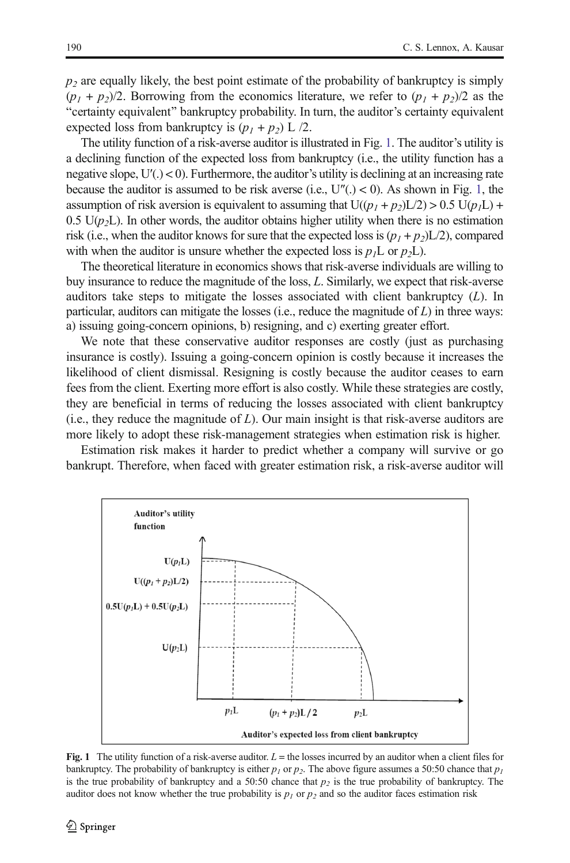<span id="page-5-0"></span> $p<sub>2</sub>$  are equally likely, the best point estimate of the probability of bankruptcy is simply  $(p_1 + p_2)/2$ . Borrowing from the economics literature, we refer to  $(p_1 + p_2)/2$  as the "certainty equivalent" bankruptcy probability. In turn, the auditor's certainty equivalent expected loss from bankruptcy is  $(p_1 + p_2)$  L /2.

The utility function of a risk-averse auditor is illustrated in Fig. 1. The auditor's utility is a declining function of the expected loss from bankruptcy (i.e., the utility function has a negative slope,  $U'(.) < 0$ ). Furthermore, the auditor's utility is declining at an increasing rate because the auditor is assumed to be risk averse (i.e.,  $U''(.) < 0$ ). As shown in Fig. 1, the assumption of risk aversion is equivalent to assuming that  $U((p_1 + p_2)L/2) > 0.5 U(p_1L) +$ 0.5 U( $p<sub>2</sub>$ L). In other words, the auditor obtains higher utility when there is no estimation risk (i.e., when the auditor knows for sure that the expected loss is  $(p_1 + p_2)L/2$ ), compared with when the auditor is unsure whether the expected loss is  $p<sub>1</sub>$ L or  $p<sub>2</sub>$ L).

The theoretical literature in economics shows that risk-averse individuals are willing to buy insurance to reduce the magnitude of the loss, L. Similarly, we expect that risk-averse auditors take steps to mitigate the losses associated with client bankruptcy  $(L)$ . In particular, auditors can mitigate the losses (i.e., reduce the magnitude of  $L$ ) in three ways: a) issuing going-concern opinions, b) resigning, and c) exerting greater effort.

We note that these conservative auditor responses are costly (just as purchasing insurance is costly). Issuing a going-concern opinion is costly because it increases the likelihood of client dismissal. Resigning is costly because the auditor ceases to earn fees from the client. Exerting more effort is also costly. While these strategies are costly, they are beneficial in terms of reducing the losses associated with client bankruptcy  $(i.e., they reduce the magnitude of  $L$ ). Our main insight is that risk-averse auditors are$ more likely to adopt these risk-management strategies when estimation risk is higher.

Estimation risk makes it harder to predict whether a company will survive or go bankrupt. Therefore, when faced with greater estimation risk, a risk-averse auditor will



Fig. 1 The utility function of a risk-averse auditor.  $L =$  the losses incurred by an auditor when a client files for bankruptcy. The probability of bankruptcy is either  $p_1$  or  $p_2$ . The above figure assumes a 50:50 chance that  $p_1$ is the true probability of bankruptcy and a 50:50 chance that  $p_2$  is the true probability of bankruptcy. The auditor does not know whether the true probability is  $p_1$  or  $p_2$  and so the auditor faces estimation risk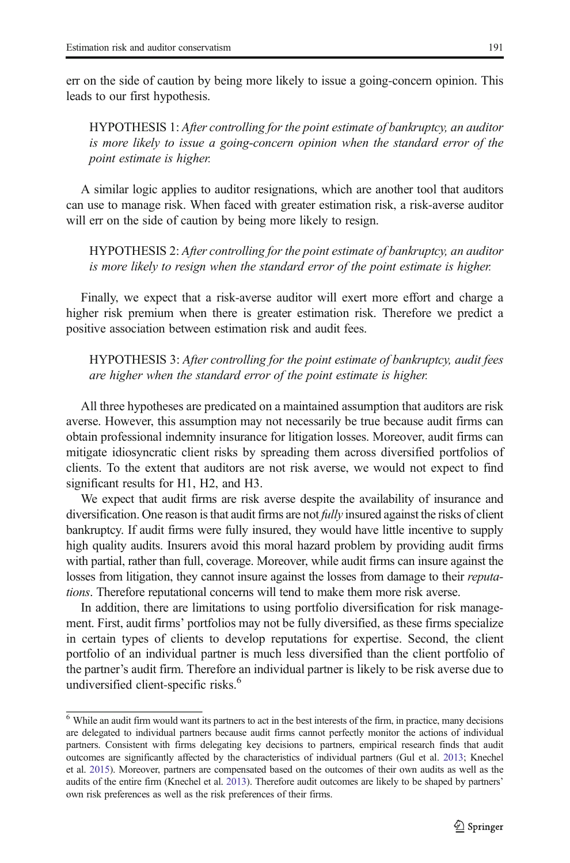err on the side of caution by being more likely to issue a going-concern opinion. This leads to our first hypothesis.

HYPOTHESIS 1: After controlling for the point estimate of bankruptcy, an auditor is more likely to issue a going-concern opinion when the standard error of the point estimate is higher.

A similar logic applies to auditor resignations, which are another tool that auditors can use to manage risk. When faced with greater estimation risk, a risk-averse auditor will err on the side of caution by being more likely to resign.

HYPOTHESIS 2: After controlling for the point estimate of bankruptcy, an auditor is more likely to resign when the standard error of the point estimate is higher.

Finally, we expect that a risk-averse auditor will exert more effort and charge a higher risk premium when there is greater estimation risk. Therefore we predict a positive association between estimation risk and audit fees.

HYPOTHESIS 3: After controlling for the point estimate of bankruptcy, audit fees are higher when the standard error of the point estimate is higher.

All three hypotheses are predicated on a maintained assumption that auditors are risk averse. However, this assumption may not necessarily be true because audit firms can obtain professional indemnity insurance for litigation losses. Moreover, audit firms can mitigate idiosyncratic client risks by spreading them across diversified portfolios of clients. To the extent that auditors are not risk averse, we would not expect to find significant results for H1, H2, and H3.

We expect that audit firms are risk averse despite the availability of insurance and diversification. One reason is that audit firms are not *fully* insured against the risks of client bankruptcy. If audit firms were fully insured, they would have little incentive to supply high quality audits. Insurers avoid this moral hazard problem by providing audit firms with partial, rather than full, coverage. Moreover, while audit firms can insure against the losses from litigation, they cannot insure against the losses from damage to their *reputa*tions. Therefore reputational concerns will tend to make them more risk averse.

In addition, there are limitations to using portfolio diversification for risk management. First, audit firms' portfolios may not be fully diversified, as these firms specialize in certain types of clients to develop reputations for expertise. Second, the client portfolio of an individual partner is much less diversified than the client portfolio of the partner's audit firm. Therefore an individual partner is likely to be risk averse due to undiversified client-specific risks.<sup>6</sup>

<sup>&</sup>lt;sup>6</sup> While an audit firm would want its partners to act in the best interests of the firm, in practice, many decisions are delegated to individual partners because audit firms cannot perfectly monitor the actions of individual partners. Consistent with firms delegating key decisions to partners, empirical research finds that audit outcomes are significantly affected by the characteristics of individual partners (Gul et al. [2013](#page-30-0); Knechel et al. [2015\)](#page-31-0). Moreover, partners are compensated based on the outcomes of their own audits as well as the audits of the entire firm (Knechel et al. [2013](#page-31-0)). Therefore audit outcomes are likely to be shaped by partners' own risk preferences as well as the risk preferences of their firms.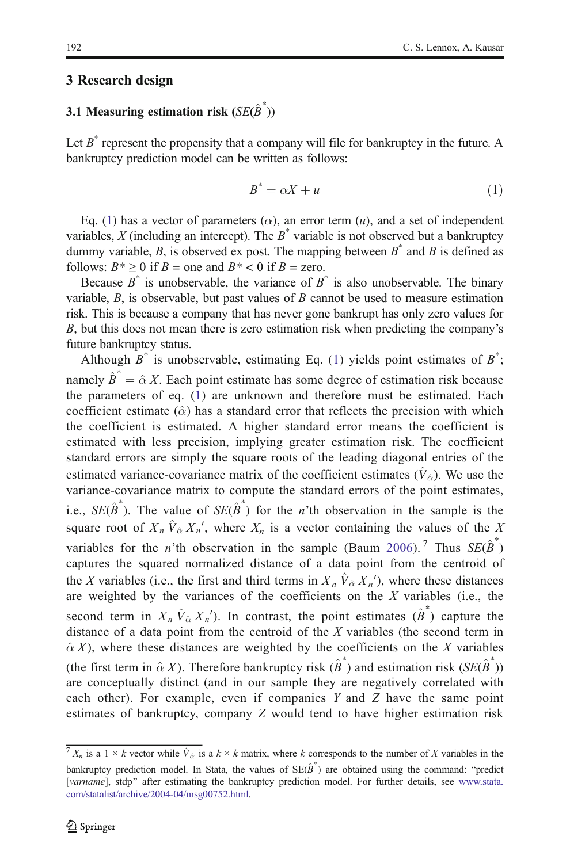#### <span id="page-7-0"></span>3 Research design

# 3.1 Measuring estimation risk  $(SE(\hat{B}^*))$

Let  $B^*$  represent the propensity that a company will file for bankruptcy in the future. A bankruptcy prediction model can be written as follows:

$$
B^* = \alpha X + u \tag{1}
$$

Eq. (1) has a vector of parameters ( $\alpha$ ), an error term (*u*), and a set of independent variables, X (including an intercept). The  $B^*$  variable is not observed but a bankruptcy dummy variable, B, is observed ex post. The mapping between  $B^*$  and B is defined as follows:  $B^* \ge 0$  if  $B =$  one and  $B^* < 0$  if  $B =$  zero.

Because  $B^*$  is unobservable, the variance of  $B^*$  is also unobservable. The binary variable,  $B$ , is observable, but past values of  $B$  cannot be used to measure estimation risk. This is because a company that has never gone bankrupt has only zero values for B, but this does not mean there is zero estimation risk when predicting the company's future bankruptcy status.

Although  $B^*$  is unobservable, estimating Eq. (1) yields point estimates of  $B^*$ ; namely  $\hat{B}^* = \hat{\alpha} X$ . Each point estimate has some degree of estimation risk because the parameters of eq. (1) are unknown and therefore must be estimated. Each coefficient estimate ( $\hat{\alpha}$ ) has a standard error that reflects the precision with which the coefficient is estimated. A higher standard error means the coefficient is estimated with less precision, implying greater estimation risk. The coefficient standard errors are simply the square roots of the leading diagonal entries of the estimated variance-covariance matrix of the coefficient estimates ( $\hat{V}_\phi$ ). We use the variance-covariance matrix to compute the standard errors of the point estimates, i.e.,  $SE(\hat{B}^*)$ . The value of  $SE(\hat{B}^*)$  for the n'th observation in the sample is the square root of  $X_n \hat{V}_{\hat{\alpha}} X_n'$ , where  $X_n$  is a vector containing the values of the X variables for the *n*'th observation in the sample (Baum [2006\)](#page-30-0).<sup>7</sup> Thus  $SE(\hat{B}^*)$ captures the squared normalized distance of a data point from the centroid of the X variables (i.e., the first and third terms in  $X_n \hat{V}_\alpha X_n'$ ), where these distances are weighted by the variances of the coefficients on the  $X$  variables (i.e., the second term in  $X_n \hat{V}_{\hat{\alpha}} X_n'$ ). In contrast, the point estimates  $(\hat{\beta}^*)$  capture the distance of a data point from the centroid of the  $X$  variables (the second term in  $\hat{\alpha}$  X), where these distances are weighted by the coefficients on the X variables (the first term in  $\hat{\alpha} X$ ). Therefore bankruptcy risk  $(\hat{\beta}^*)$  and estimation risk  $(SE(\hat{\beta}^*))$ are conceptually distinct (and in our sample they are negatively correlated with each other). For example, even if companies Y and Z have the same point estimates of bankruptcy, company Z would tend to have higher estimation risk

 $\sqrt{T} X_n$  is a  $1 \times k$  vector while  $\hat{V}_{\hat{\alpha}}$  is a  $k \times k$  matrix, where k corresponds to the number of X variables in the bankruptcy prediction model. In Stata, the values of  $SE(\hat{B}^*)$  are obtained using the command: "predict [varname], stdp" after estimating the bankruptcy prediction model. For further details, see [www.stata.](http://www.stata.com/statalist/archive/2004-04/msg00752.html) [com/statalist/archive/2004-04/msg00752.html.](http://www.stata.com/statalist/archive/2004-04/msg00752.html)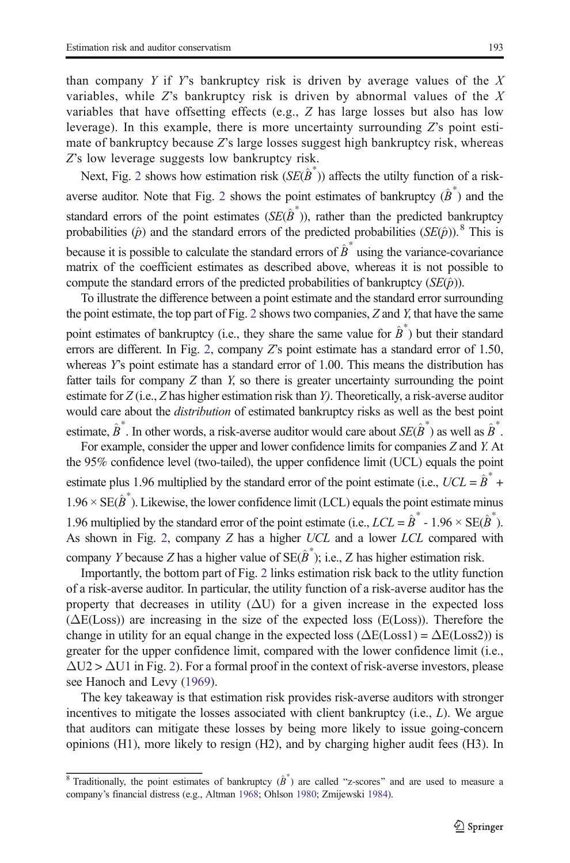than company Y if Y's bankruptcy risk is driven by average values of the  $X$ variables, while  $Z$ 's bankruptcy risk is driven by abnormal values of the  $X$ variables that have offsetting effects (e.g., Z has large losses but also has low leverage). In this example, there is more uncertainty surrounding  $Z$ 's point estimate of bankruptcy because Z's large losses suggest high bankruptcy risk, whereas Z's low leverage suggests low bankruptcy risk.

Next, Fig. [2](#page-9-0) shows how estimation risk  $(SE(\hat{B}^*))$  affects the utilty function of a risk-averse auditor. Note that Fig. [2](#page-9-0) shows the point estimates of bankruptcy  $(\hat{B}^*)$  and the standard errors of the point estimates  $(SE(\hat{B}^*))$ , rather than the predicted bankruptcy probabilities ( $\hat{p}$ ) and the standard errors of the predicted probabilities (SE( $\hat{p}$ )).<sup>8</sup> This is because it is possible to calculate the standard errors of  $\hat{B}^*$  using the variance-covariance matrix of the coefficient estimates as described above, whereas it is not possible to compute the standard errors of the predicted probabilities of bankruptcy  $(SE(\hat{p}))$ .

To illustrate the difference between a point estimate and the standard error surrounding the point estimate, the top part of Fig. [2](#page-9-0) shows two companies, Z and Y, that have the same point estimates of bankruptcy (i.e., they share the same value for  $\hat{B}^*$ ) but their standard errors are different. In Fig. [2](#page-9-0), company  $Z$ 's point estimate has a standard error of 1.50, whereas Y's point estimate has a standard error of 1.00. This means the distribution has fatter tails for company  $Z$  than  $Y$ , so there is greater uncertainty surrounding the point estimate for Z (i.e., Z has higher estimation risk than Y). Theoretically, a risk-averse auditor would care about the distribution of estimated bankruptcy risks as well as the best point

estimate,  $\hat{B}^*$ . In other words, a risk-averse auditor would care about  $SE(\hat{B}^*)$  as well as  $\hat{B}^*$ . For example, consider the upper and lower confidence limits for companies Z and Y. At the 95% confidence level (two-tailed), the upper confidence limit (UCL) equals the point estimate plus 1.96 multiplied by the standard error of the point estimate (i.e.,  $UCL = \hat{B}^*$  +  $1.96 \times SE(\hat{B}^*)$ . Likewise, the lower confidence limit (LCL) equals the point estimate minus 1.96 multiplied by the standard error of the point estimate (i.e.,  $LCL = \hat{B}^* - 1.96 \times SE(\hat{B}^*)$ ). As shown in Fig. [2](#page-9-0), company Z has a higher UCL and a lower LCL compared with company Y because Z has a higher value of  $SE(\hat{B}^*)$ ; i.e., Z has higher estimation risk.

Importantly, the bottom part of Fig. [2](#page-9-0) links estimation risk back to the utlity function of a risk-averse auditor. In particular, the utility function of a risk-averse auditor has the property that decreases in utility  $(\Delta U)$  for a given increase in the expected loss  $(\Delta E(Loss))$  are increasing in the size of the expected loss (E(Loss)). Therefore the change in utility for an equal change in the expected loss ( $\Delta E$ (Loss1) =  $\Delta E$ (Loss2)) is greater for the upper confidence limit, compared with the lower confidence limit (i.e.,  $\Delta U2 > \Delta U1$  $\Delta U2 > \Delta U1$  $\Delta U2 > \Delta U1$  in Fig. 2). For a formal proof in the context of risk-averse investors, please see Hanoch and Levy ([1969](#page-30-0)).

The key takeaway is that estimation risk provides risk-averse auditors with stronger incentives to mitigate the losses associated with client bankruptcy  $(i.e., L)$ . We argue that auditors can mitigate these losses by being more likely to issue going-concern opinions (H1), more likely to resign (H2), and by charging higher audit fees (H3). In

<sup>&</sup>lt;sup>8</sup> Traditionally, the point estimates of bankruptcy  $(\hat{B}^*)$  are called "z-scores" and are used to measure a company's financial distress (e.g., Altman [1968](#page-30-0); Ohlson [1980;](#page-31-0) Zmijewski [1984](#page-31-0)).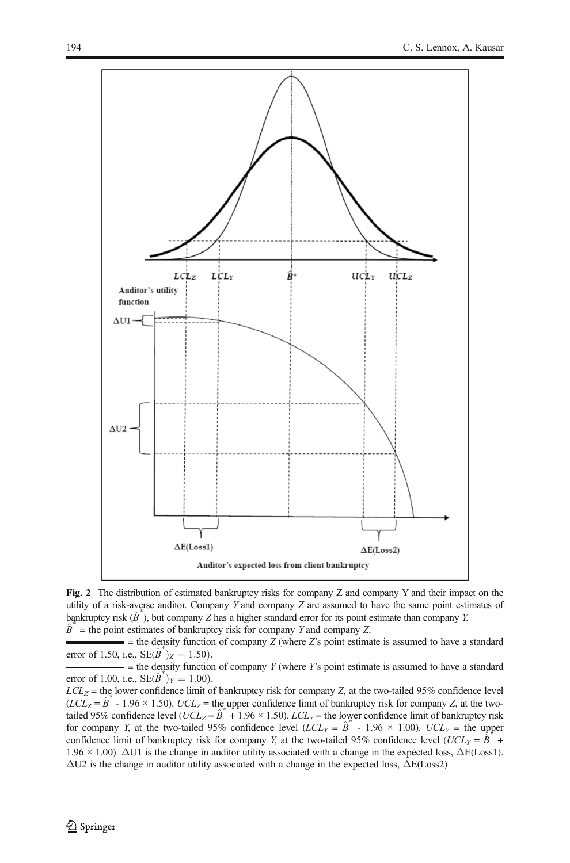<span id="page-9-0"></span>

Fig. 2 The distribution of estimated bankruptcy risks for company Z and company Y and their impact on the utility of a risk-averse auditor. Company Y and company Z are assumed to have the same point estimates of bankruptcy risk  $(\hat{B}^*)$ , but company Z has a higher standard error for its point estimate than company Y.  $\hat{B}^*$  = the point estimates of bankruptcy risk for company Y and company Z.

 $u =$  the density function of company  $Z$  (where  $Z$ 's point estimate is assumed to have a standard error of 1.50, i.e.,  $SE(\hat{B}^*)_Z = 1.50$ .

 $-$  = the density function of company Y (where Y's point estimate is assumed to have a standard error of 1.00, i.e.,  $SE(\hat{B}^*)_Y = 1.00$ ).

 $LCL_Z$  = the lower confidence limit of bankruptcy risk for company Z, at the two-tailed 95% confidence level  $(LCL<sub>Z</sub> = \hat{B}^* - 1.96 \times 1.50)$ .  $UCL<sub>Z</sub> =$  the upper confidence limit of bankruptcy risk for company Z, at the twotailed 95% confidence level (UCL<sub>Z</sub> =  $\hat{B}^* + 1.96 \times 1.50$ ). LCL<sub>Y</sub> = the lower confidence limit of bankruptcy risk for company Y, at the two-tailed 95% confidence level ( $LCL_Y = \hat{B}^* - 1.96 \times 1.00$ ).  $UCL_Y =$  the upper confidence limit of bankruptcy risk for company Y, at the two-tailed 95% confidence level (UCL<sub>Y</sub> =  $\hat{B}^*$  + 1.96 × 1.00). ΔU1 is the change in auditor utility associated with a change in the expected loss, ΔE(Loss1).  $\Delta$ U2 is the change in auditor utility associated with a change in the expected loss,  $\Delta E$ (Loss2)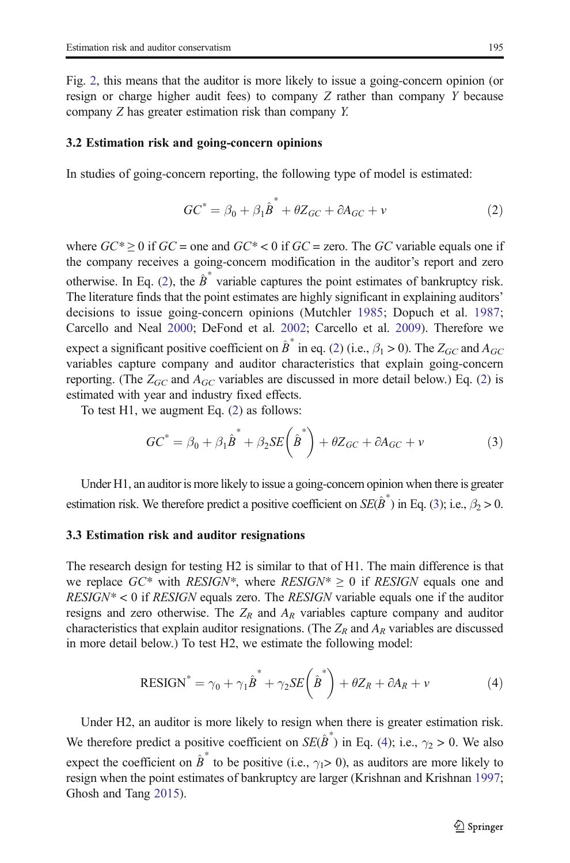<span id="page-10-0"></span>Fig. [2](#page-9-0), this means that the auditor is more likely to issue a going-concern opinion (or resign or charge higher audit fees) to company Z rather than company Y because company Z has greater estimation risk than company Y.

#### 3.2 Estimation risk and going-concern opinions

In studies of going-concern reporting, the following type of model is estimated:

$$
GC^* = \beta_0 + \beta_1 \hat{B}^* + \theta Z_{GC} + \partial A_{GC} + v \tag{2}
$$

where  $GC^* \ge 0$  if  $GC$  = one and  $GC^* < 0$  if  $GC$  = zero. The GC variable equals one if the company receives a going-concern modification in the auditor's report and zero otherwise. In Eq. (2), the  $\hat{B}^*$  variable captures the point estimates of bankruptcy risk. The literature finds that the point estimates are highly significant in explaining auditors' decisions to issue going-concern opinions (Mutchler [1985;](#page-31-0) Dopuch et al. [1987;](#page-30-0) Carcello and Neal [2000;](#page-30-0) DeFond et al. [2002](#page-30-0); Carcello et al. [2009\)](#page-30-0). Therefore we expect a significant positive coefficient on  $\hat{B}^*$  in eq. (2) (i.e.,  $\beta_1 > 0$ ). The  $Z_{GC}$  and  $A_{GC}$ variables capture company and auditor characteristics that explain going-concern reporting. (The  $Z_{GC}$  and  $A_{GC}$  variables are discussed in more detail below.) Eq. (2) is estimated with year and industry fixed effects.

To test H1, we augment Eq. (2) as follows:

$$
GC^* = \beta_0 + \beta_1 \hat{B}^* + \beta_2 SE\left(\hat{B}^*\right) + \theta Z_{GC} + \partial A_{GC} + v \tag{3}
$$

Under H1, an auditor is more likely to issue a going-concern opinion when there is greater estimation risk. We therefore predict a positive coefficient on  $SE(\hat{B}^*)$  in Eq. (3); i.e.,  $\beta_2 > 0$ .

#### 3.3 Estimation risk and auditor resignations

The research design for testing H2 is similar to that of H1. The main difference is that we replace  $GC^*$  with RESIGN\*, where RESIGN\*  $\geq 0$  if RESIGN equals one and  $RESIGN^* < 0$  if RESIGN equals zero. The RESIGN variable equals one if the auditor resigns and zero otherwise. The  $Z_R$  and  $A_R$  variables capture company and auditor characteristics that explain auditor resignations. (The  $Z_R$  and  $A_R$  variables are discussed in more detail below.) To test H2, we estimate the following model:

$$
RESIGN^* = \gamma_0 + \gamma_1 \hat{B}^* + \gamma_2 SE\left(\hat{B}^*\right) + \theta Z_R + \partial A_R + \nu \tag{4}
$$

Under H2, an auditor is more likely to resign when there is greater estimation risk. We therefore predict a positive coefficient on  $SE(\hat{B}^*)$  in Eq. (4); i.e.,  $\gamma_2 > 0$ . We also expect the coefficient on  $\hat{B}^*$  to be positive (i.e.,  $\gamma_1> 0$ ), as auditors are more likely to resign when the point estimates of bankruptcy are larger (Krishnan and Krishnan [1997;](#page-31-0) Ghosh and Tang [2015](#page-30-0)).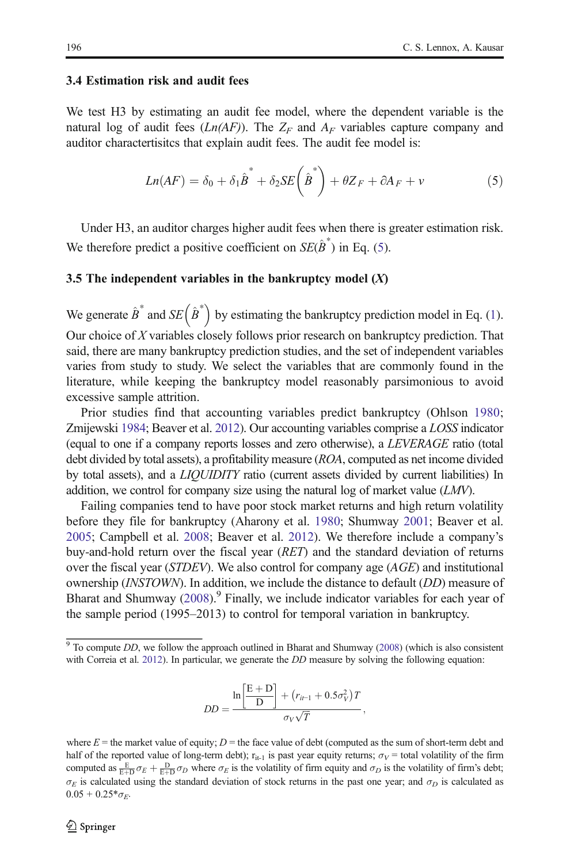#### 3.4 Estimation risk and audit fees

We test H3 by estimating an audit fee model, where the dependent variable is the natural log of audit fees  $(Ln(AF))$ . The  $Z_F$  and  $A_F$  variables capture company and auditor charactertisitcs that explain audit fees. The audit fee model is:

$$
Ln(AF) = \delta_0 + \delta_1 \hat{B}^* + \delta_2 SE\left(\hat{B}^*\right) + \theta Z_F + \partial A_F + v \tag{5}
$$

Under H3, an auditor charges higher audit fees when there is greater estimation risk. We therefore predict a positive coefficient on  $SE(\hat{B}^*)$  in Eq. (5).

#### 3.5 The independent variables in the bankruptcy model  $(X)$

We generate  $\hat{B}^*$  and  $SE \left( \hat{B}^* \right)$  by estimating the bankruptcy prediction model in Eq. ([1\)](#page-7-0). Our choice of  $X$  variables closely follows prior research on bankruptcy prediction. That said, there are many bankruptcy prediction studies, and the set of independent variables varies from study to study. We select the variables that are commonly found in the literature, while keeping the bankruptcy model reasonably parsimonious to avoid excessive sample attrition.

Prior studies find that accounting variables predict bankruptcy (Ohlson [1980;](#page-31-0) Zmijewski [1984](#page-31-0); Beaver et al. [2012\)](#page-30-0). Our accounting variables comprise a LOSS indicator (equal to one if a company reports losses and zero otherwise), a LEVERAGE ratio (total debt divided by total assets), a profitability measure (ROA, computed as net income divided by total assets), and a LIQUIDITY ratio (current assets divided by current liabilities) In addition, we control for company size using the natural log of market value  $(LMV)$ .

Failing companies tend to have poor stock market returns and high return volatility before they file for bankruptcy (Aharony et al. [1980](#page-30-0); Shumway [2001;](#page-31-0) Beaver et al. [2005;](#page-30-0) Campbell et al. [2008](#page-30-0); Beaver et al. [2012\)](#page-30-0). We therefore include a company's buy-and-hold return over the fiscal year (RET) and the standard deviation of returns over the fiscal year (*STDEV*). We also control for company age (*AGE*) and institutional ownership (INSTOWN). In addition, we include the distance to default (DD) measure of Bharat and Shumway  $(2008)$  $(2008)$  $(2008)$ .<sup>9</sup> Finally, we include indicator variables for each year of the sample period (1995–2013) to control for temporal variation in bankruptcy.

$$
DD = \frac{\ln\left[\frac{E+D}{D}\right] + (r_{it-1} + 0.5\sigma_V^2)T}{\sigma_V\sqrt{T}},
$$

 $9$  To compute DD, we follow the approach outlined in Bharat and Shumway [\(2008\)](#page-30-0) (which is also consistent with Correia et al. [2012](#page-30-0)). In particular, we generate the *DD* measure by solving the following equation:

where  $E =$  the market value of equity;  $D =$  the face value of debt (computed as the sum of short-term debt and half of the reported value of long-term debt);  $r_{it-1}$  is past year equity returns;  $\sigma_V$  = total volatility of the firm computed as  $\frac{E}{E+D}\sigma_E + \frac{D}{E+D}\sigma_D$  where  $\sigma_E$  is the volatility of firm equity and  $\sigma_D$  is the volatility of firm's debt;  $\sigma_E$  is calculated using the standard deviation of stock returns in the past one year; and  $\sigma_D$  is calculated as  $0.05 + 0.25 * \sigma_F$ .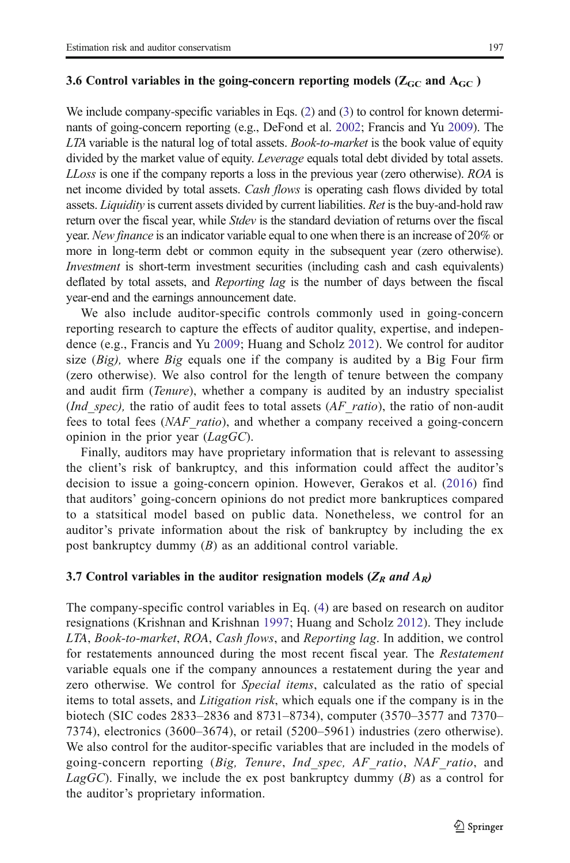#### 3.6 Control variables in the going-concern reporting models ( $Z_{GC}$  and  $A_{GC}$  )

We include company-specific variables in Eqs. [\(2\)](#page-10-0) and ([3\)](#page-10-0) to control for known determinants of going-concern reporting (e.g., DeFond et al. [2002](#page-30-0); Francis and Yu [2009\)](#page-30-0). The LTA variable is the natural log of total assets. *Book-to-market* is the book value of equity divided by the market value of equity. *Leverage* equals total debt divided by total assets. LLoss is one if the company reports a loss in the previous year (zero otherwise). ROA is net income divided by total assets. *Cash flows* is operating cash flows divided by total assets. *Liquidity* is current assets divided by current liabilities. Ret is the buy-and-hold raw return over the fiscal year, while *Stdev* is the standard deviation of returns over the fiscal year. New finance is an indicator variable equal to one when there is an increase of 20% or more in long-term debt or common equity in the subsequent year (zero otherwise). Investment is short-term investment securities (including cash and cash equivalents) deflated by total assets, and Reporting lag is the number of days between the fiscal year-end and the earnings announcement date.

We also include auditor-specific controls commonly used in going-concern reporting research to capture the effects of auditor quality, expertise, and independence (e.g., Francis and Yu [2009](#page-30-0); Huang and Scholz [2012](#page-31-0)). We control for auditor size  $(Big)$ , where  $Big$  equals one if the company is audited by a Big Four firm (zero otherwise). We also control for the length of tenure between the company and audit firm (*Tenure*), whether a company is audited by an industry specialist *(Ind spec)*, the ratio of audit fees to total assets ( $AF$  ratio), the ratio of non-audit fees to total fees (NAF\_ratio), and whether a company received a going-concern opinion in the prior year  $(LagGC)$ .

Finally, auditors may have proprietary information that is relevant to assessing the client's risk of bankruptcy, and this information could affect the auditor's decision to issue a going-concern opinion. However, Gerakos et al. [\(2016\)](#page-30-0) find that auditors' going-concern opinions do not predict more bankruptices compared to a statsitical model based on public data. Nonetheless, we control for an auditor's private information about the risk of bankruptcy by including the ex post bankruptcy dummy (B) as an additional control variable.

#### 3.7 Control variables in the auditor resignation models ( $Z_R$  and  $A_R$ )

The company-specific control variables in Eq. [\(4](#page-10-0)) are based on research on auditor resignations (Krishnan and Krishnan [1997](#page-31-0); Huang and Scholz [2012](#page-31-0)). They include LTA, Book-to-market, ROA, Cash flows, and Reporting lag. In addition, we control for restatements announced during the most recent fiscal year. The Restatement variable equals one if the company announces a restatement during the year and zero otherwise. We control for Special items, calculated as the ratio of special items to total assets, and Litigation risk, which equals one if the company is in the biotech (SIC codes 2833–2836 and 8731–8734), computer (3570–3577 and 7370– 7374), electronics (3600–3674), or retail (5200–5961) industries (zero otherwise). We also control for the auditor-specific variables that are included in the models of going-concern reporting (Big, Tenure, Ind\_spec, AF\_ratio, NAF\_ratio, and LagGC). Finally, we include the ex post bankruptcy dummy  $(B)$  as a control for the auditor's proprietary information.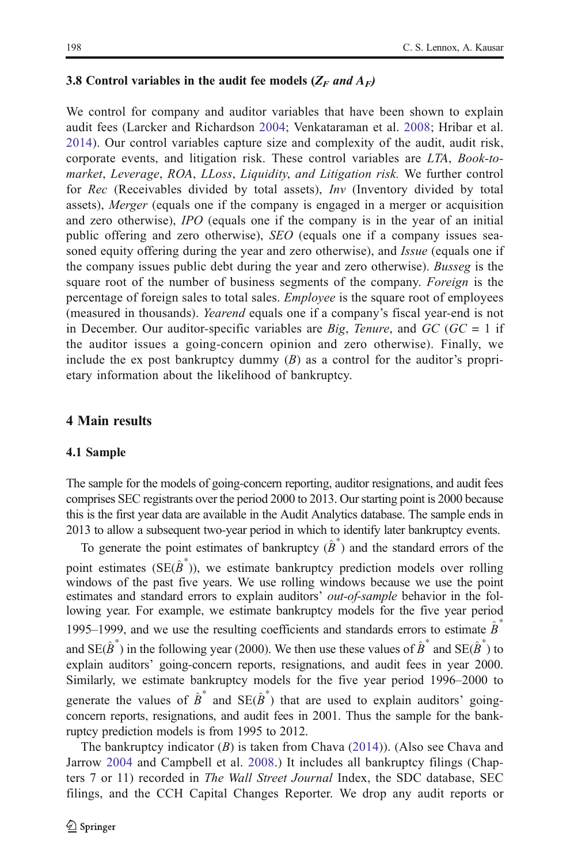#### 3.8 Control variables in the audit fee models ( $Z_F$  and  $A_F$ )

We control for company and auditor variables that have been shown to explain audit fees (Larcker and Richardson [2004](#page-31-0); Venkataraman et al. [2008;](#page-31-0) Hribar et al. [2014](#page-31-0)). Our control variables capture size and complexity of the audit, audit risk, corporate events, and litigation risk. These control variables are LTA, Book-tomarket, Leverage, ROA, LLoss, Liquidity, and Litigation risk. We further control for Rec (Receivables divided by total assets), Inv (Inventory divided by total assets), Merger (equals one if the company is engaged in a merger or acquisition and zero otherwise), IPO (equals one if the company is in the year of an initial public offering and zero otherwise), SEO (equals one if a company issues seasoned equity offering during the year and zero otherwise), and *Issue* (equals one if the company issues public debt during the year and zero otherwise). Busseg is the square root of the number of business segments of the company. Foreign is the percentage of foreign sales to total sales. Employee is the square root of employees (measured in thousands). Yearend equals one if a company's fiscal year-end is not in December. Our auditor-specific variables are *Big*, *Tenure*, and  $GC$  ( $GC = 1$  if the auditor issues a going-concern opinion and zero otherwise). Finally, we include the ex post bankruptcy dummy  $(B)$  as a control for the auditor's proprietary information about the likelihood of bankruptcy.

#### 4 Main results

#### 4.1 Sample

The sample for the models of going-concern reporting, auditor resignations, and audit fees comprises SEC registrants over the period 2000 to 2013. Our starting point is 2000 because this is the first year data are available in the Audit Analytics database. The sample ends in 2013 to allow a subsequent two-year period in which to identify later bankruptcy events.

To generate the point estimates of bankruptcy  $(\hat{B}^*)$  and the standard errors of the point estimates ( $SE(\hat{B}^*)$ ), we estimate bankruptcy prediction models over rolling windows of the past five years. We use rolling windows because we use the point estimates and standard errors to explain auditors' *out-of-sample* behavior in the following year. For example, we estimate bankruptcy models for the five year period 1995–1999, and we use the resulting coefficients and standards errors to estimate  $\ddot{B}$ and  $SE(\hat{B}^*)$  in the following year (2000). We then use these values of  $\hat{B}^*$  and  $SE(\hat{B}^*)$  to explain auditors' going-concern reports, resignations, and audit fees in year 2000. Similarly, we estimate bankruptcy models for the five year period 1996–2000 to generate the values of  $\hat{B}^*$  and  $SE(\hat{B}^*)$  that are used to explain auditors' goingconcern reports, resignations, and audit fees in 2001. Thus the sample for the bankruptcy prediction models is from 1995 to 2012.

The bankruptcy indicator  $(B)$  is taken from Chava ([2014](#page-30-0))). (Also see Chava and Jarrow [2004](#page-30-0) and Campbell et al. [2008.](#page-30-0)) It includes all bankruptcy filings (Chapters 7 or 11) recorded in The Wall Street Journal Index, the SDC database, SEC filings, and the CCH Capital Changes Reporter. We drop any audit reports or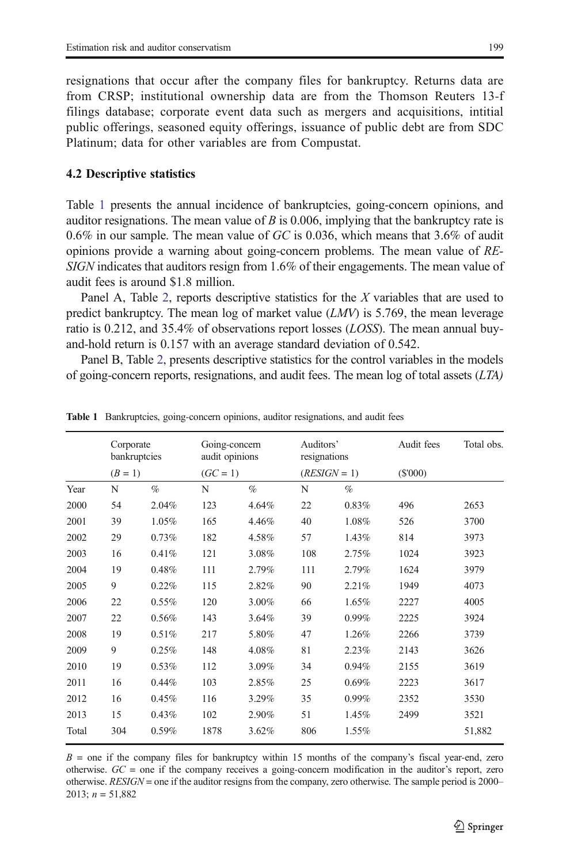<span id="page-14-0"></span>resignations that occur after the company files for bankruptcy. Returns data are from CRSP; institutional ownership data are from the Thomson Reuters 13-f filings database; corporate event data such as mergers and acquisitions, intitial public offerings, seasoned equity offerings, issuance of public debt are from SDC Platinum; data for other variables are from Compustat.

#### 4.2 Descriptive statistics

Table 1 presents the annual incidence of bankruptcies, going-concern opinions, and auditor resignations. The mean value of B is 0.006, implying that the bankruptcy rate is 0.6% in our sample. The mean value of  $GC$  is 0.036, which means that 3.6% of audit opinions provide a warning about going-concern problems. The mean value of RE-SIGN indicates that auditors resign from 1.6% of their engagements. The mean value of audit fees is around \$1.8 million.

Panel A, Table [2](#page-15-0), reports descriptive statistics for the X variables that are used to predict bankruptcy. The mean log of market value  $(LMV)$  is 5.769, the mean leverage ratio is 0.212, and 35.4% of observations report losses (LOSS). The mean annual buyand-hold return is 0.157 with an average standard deviation of 0.542.

Panel B, Table [2,](#page-15-0) presents descriptive statistics for the control variables in the models of going-concern reports, resignations, and audit fees. The mean log of total assets  $(LTA)$ 

|       | Corporate | bankruptcies | Going-concern<br>audit opinions |          | Auditors'<br>resignations |                | Audit fees | Total obs. |
|-------|-----------|--------------|---------------------------------|----------|---------------------------|----------------|------------|------------|
|       | $(B = 1)$ |              | $(GC = 1)$                      |          |                           | $(RESIGN = 1)$ | $(\$'000)$ |            |
| Year  | N         | $\%$         | N                               | $\%$     | N                         | $\%$           |            |            |
| 2000  | 54        | 2.04%        | 123                             | 4.64%    | 22                        | 0.83%          | 496        | 2653       |
| 2001  | 39        | 1.05%        | 165                             | 4.46%    | 40                        | 1.08%          | 526        | 3700       |
| 2002  | 29        | 0.73%        | 182                             | 4.58%    | 57                        | 1.43%          | 814        | 3973       |
| 2003  | 16        | 0.41%        | 121                             | 3.08%    | 108                       | 2.75%          | 1024       | 3923       |
| 2004  | 19        | 0.48%        | 111                             | 2.79%    | 111                       | 2.79%          | 1624       | 3979       |
| 2005  | 9         | 0.22%        | 115                             | 2.82%    | 90                        | 2.21%          | 1949       | 4073       |
| 2006  | 22        | 0.55%        | 120                             | $3.00\%$ | 66                        | 1.65%          | 2227       | 4005       |
| 2007  | 22        | 0.56%        | 143                             | 3.64%    | 39                        | $0.99\%$       | 2225       | 3924       |
| 2008  | 19        | 0.51%        | 217                             | 5.80%    | 47                        | 1.26%          | 2266       | 3739       |
| 2009  | 9         | 0.25%        | 148                             | 4.08%    | 81                        | 2.23%          | 2143       | 3626       |
| 2010  | 19        | 0.53%        | 112                             | 3.09%    | 34                        | 0.94%          | 2155       | 3619       |
| 2011  | 16        | 0.44%        | 103                             | 2.85%    | 25                        | 0.69%          | 2223       | 3617       |
| 2012  | 16        | 0.45%        | 116                             | 3.29%    | 35                        | $0.99\%$       | 2352       | 3530       |
| 2013  | 15        | 0.43%        | 102                             | 2.90%    | 51                        | 1.45%          | 2499       | 3521       |
| Total | 304       | 0.59%        | 1878                            | $3.62\%$ | 806                       | 1.55%          |            | 51,882     |

Table 1 Bankruptcies, going-concern opinions, auditor resignations, and audit fees

 $B =$  one if the company files for bankruptcy within 15 months of the company's fiscal year-end, zero otherwise.  $GC =$  one if the company receives a going-concern modification in the auditor's report, zero otherwise. RESIGN = one if the auditor resigns from the company, zero otherwise. The sample period is 2000– 2013;  $n = 51,882$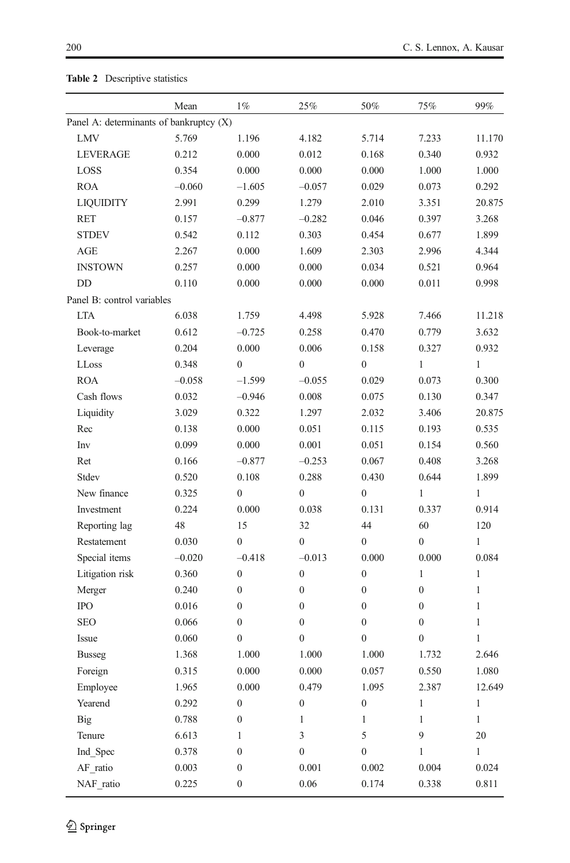| Panel A: determinants of bankruptcy (X)<br>5.769<br>1.196<br>7.233<br>LMV<br>4.182<br>5.714<br>0.340<br>LEVERAGE<br>0.212<br>0.000<br>0.012<br>0.168<br>0.354<br>0.000<br>0.000<br>0.000<br>1.000<br>LOSS<br><b>ROA</b><br>$-0.060$<br>$-0.057$<br>0.029<br>0.073<br>$-1.605$<br>2.991<br>0.299<br>1.279<br>2.010<br><b>LIQUIDITY</b><br>3.351 | 0.932<br>1.000<br>0.292<br>3.268<br>1.899<br>4.344 |
|------------------------------------------------------------------------------------------------------------------------------------------------------------------------------------------------------------------------------------------------------------------------------------------------------------------------------------------------|----------------------------------------------------|
|                                                                                                                                                                                                                                                                                                                                                | 11.170<br>20.875                                   |
|                                                                                                                                                                                                                                                                                                                                                |                                                    |
|                                                                                                                                                                                                                                                                                                                                                |                                                    |
|                                                                                                                                                                                                                                                                                                                                                |                                                    |
|                                                                                                                                                                                                                                                                                                                                                |                                                    |
|                                                                                                                                                                                                                                                                                                                                                |                                                    |
| <b>RET</b><br>0.046<br>0.397<br>0.157<br>$-0.877$<br>$-0.282$                                                                                                                                                                                                                                                                                  |                                                    |
| 0.112<br>0.303<br>0.677<br><b>STDEV</b><br>0.542<br>0.454                                                                                                                                                                                                                                                                                      |                                                    |
| AGE<br>2.267<br>0.000<br>1.609<br>2.996<br>2.303                                                                                                                                                                                                                                                                                               |                                                    |
| <b>INSTOWN</b><br>0.000<br>0.000<br>0.034<br>0.521<br>0.257                                                                                                                                                                                                                                                                                    | 0.964                                              |
| DD<br>0.011<br>0.110<br>0.000<br>0.000<br>0.000                                                                                                                                                                                                                                                                                                | 0.998                                              |
| Panel B: control variables                                                                                                                                                                                                                                                                                                                     |                                                    |
| <b>LTA</b><br>6.038<br>7.466<br>1.759<br>4.498<br>5.928                                                                                                                                                                                                                                                                                        | 11.218                                             |
| Book-to-market<br>0.612<br>0.258<br>0.470<br>0.779<br>$-0.725$                                                                                                                                                                                                                                                                                 | 3.632                                              |
| 0.204<br>0.000<br>0.006<br>Leverage<br>0.158<br>0.327                                                                                                                                                                                                                                                                                          | 0.932                                              |
| $\overline{0}$<br>$\mathbf{0}$<br>$\mathbf{0}$<br>LLoss<br>0.348<br>1                                                                                                                                                                                                                                                                          | 1                                                  |
| <b>ROA</b><br>$-1.599$<br>$-0.055$<br>0.029<br>0.073<br>$-0.058$                                                                                                                                                                                                                                                                               | 0.300                                              |
| Cash flows<br>0.032<br>0.008<br>0.130<br>$-0.946$<br>0.075                                                                                                                                                                                                                                                                                     | 0.347                                              |
| Liquidity<br>3.029<br>1.297<br>3.406<br>0.322<br>2.032                                                                                                                                                                                                                                                                                         | 20.875                                             |
| 0.000<br>0.051<br>0.115<br>Rec<br>0.138<br>0.193                                                                                                                                                                                                                                                                                               | 0.535                                              |
| 0.099<br>0.001<br>0.051<br>0.154<br>Inv<br>0.000                                                                                                                                                                                                                                                                                               | 0.560                                              |
| Ret<br>0.166<br>$-0.877$<br>$-0.253$<br>0.067<br>0.408                                                                                                                                                                                                                                                                                         | 3.268                                              |
| Stdev<br>0.288<br>0.430<br>0.644<br>0.520<br>0.108                                                                                                                                                                                                                                                                                             | 1.899                                              |
| $\mathbf{0}$<br>New finance<br>$\mathbf{0}$<br>$\boldsymbol{0}$<br>$\mathbf{1}$<br>0.325                                                                                                                                                                                                                                                       | $\mathbf{1}$                                       |
| 0.000<br>0.131<br>Investment<br>0.224<br>0.038<br>0.337                                                                                                                                                                                                                                                                                        | 0.914                                              |
| Reporting lag<br>48<br>15<br>32<br>44<br>60                                                                                                                                                                                                                                                                                                    | 120                                                |
| Restatement<br>0.030<br>$\overline{0}$<br>$\mathbf{0}$<br>$\boldsymbol{0}$<br>$\boldsymbol{0}$                                                                                                                                                                                                                                                 | $\mathbf{1}$                                       |
| Special items<br>$-0.418$<br>$-0.013$<br>0.000<br>0.000<br>$-0.020$                                                                                                                                                                                                                                                                            | 0.084                                              |
| Litigation risk<br>$\boldsymbol{0}$<br>$\boldsymbol{0}$<br>$\boldsymbol{0}$<br>$\mathbf{1}$<br>0.360                                                                                                                                                                                                                                           | $\mathbf{1}$                                       |
| $\overline{0}$<br>$\boldsymbol{0}$<br>$\overline{0}$<br>$\boldsymbol{0}$<br>Merger<br>0.240                                                                                                                                                                                                                                                    | $\mathbf{1}$                                       |
| <b>IPO</b><br>$\mathbf{0}$<br>$\boldsymbol{0}$<br>$\overline{0}$<br>$\mathbf{0}$<br>0.016                                                                                                                                                                                                                                                      | $\mathbf{1}$                                       |
| <b>SEO</b><br>0.066<br>$\boldsymbol{0}$<br>$\boldsymbol{0}$<br>$\boldsymbol{0}$<br>$\boldsymbol{0}$                                                                                                                                                                                                                                            | $\mathbf{1}$                                       |
| 0.060<br>$\mathbf{0}$<br>$\mathbf{0}$<br>$\overline{0}$<br>$\mathbf{0}$<br>Issue                                                                                                                                                                                                                                                               | $\mathbf{1}$                                       |
| 1.368<br>1.000<br>1.000<br>1.000<br>1.732<br><b>Busseg</b>                                                                                                                                                                                                                                                                                     | 2.646                                              |
| 0.315<br>0.000<br>0.057<br>0.550<br>0.000<br>Foreign                                                                                                                                                                                                                                                                                           | 1.080                                              |
| Employee<br>1.965<br>0.000<br>0.479<br>1.095<br>2.387                                                                                                                                                                                                                                                                                          | 12.649                                             |
| Yearend<br>$\boldsymbol{0}$<br>$\boldsymbol{0}$<br>$\boldsymbol{0}$<br>0.292<br>1                                                                                                                                                                                                                                                              | $\mathbf{1}$                                       |
| Big<br>0.788<br>$\boldsymbol{0}$<br>1<br>$\mathbf{1}$<br>1                                                                                                                                                                                                                                                                                     | $\mathbf{1}$                                       |
| 9<br>Tenure<br>6.613<br>$\mathfrak{Z}$<br>5<br>1                                                                                                                                                                                                                                                                                               | 20                                                 |
| Ind Spec<br>0.378<br>$\boldsymbol{0}$<br>$\boldsymbol{0}$<br>$\boldsymbol{0}$<br>$\mathbf{1}$                                                                                                                                                                                                                                                  | $\mathbf{1}$                                       |
| AF ratio<br>0.003<br>$\boldsymbol{0}$<br>0.001<br>0.002<br>0.004                                                                                                                                                                                                                                                                               | 0.024                                              |
| NAF_ratio<br>0.225<br>$0.06\,$<br>0.174<br>0.338<br>$\boldsymbol{0}$                                                                                                                                                                                                                                                                           | 0.811                                              |

<span id="page-15-0"></span>

|  | Table 2 Descriptive statistics |  |
|--|--------------------------------|--|
|--|--------------------------------|--|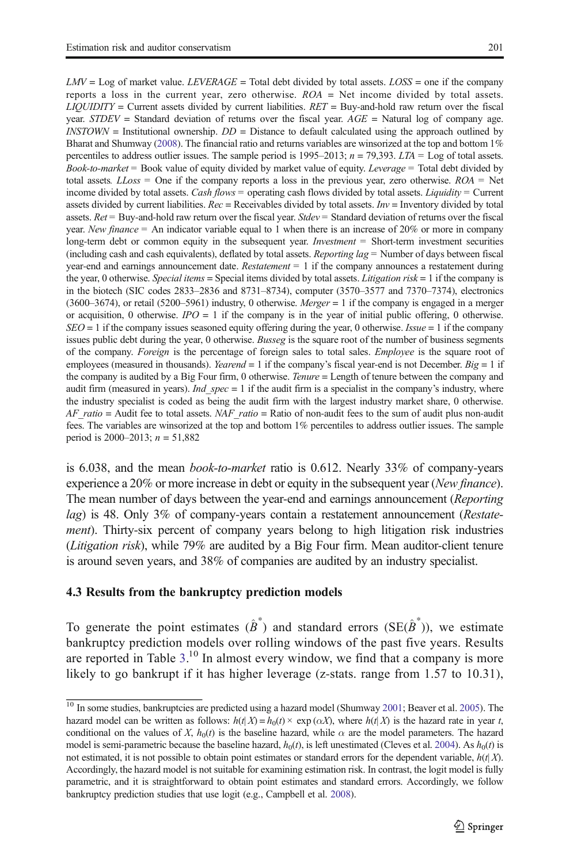$LMV = Log$  of market value. LEVERAGE = Total debt divided by total assets. LOSS = one if the company reports a loss in the current year, zero otherwise.  $ROA = Net$  income divided by total assets.  $LIOUIDITY = Current$  assets divided by current liabilities.  $RET = Buv- and-hold$  raw return over the fiscal year.  $STDEV =$  Standard deviation of returns over the fiscal year.  $AGE =$  Natural log of company age.  $INSTOWN =$  Institutional ownership.  $DD =$  Distance to default calculated using the approach outlined by Bharat and Shumway [\(2008\)](#page-30-0). The financial ratio and returns variables are winsorized at the top and bottom 1% percentiles to address outlier issues. The sample period is 1995–2013;  $n = 79,393$ .  $LTA =$  Log of total assets. Book-to-market = Book value of equity divided by market value of equity. Leverage = Total debt divided by total assets.  $LLoss =$  One if the company reports a loss in the previous year, zero otherwise.  $ROA = Net$ income divided by total assets. Cash flows = operating cash flows divided by total assets. Liquidity = Current assets divided by current liabilities.  $Rec = Rece$  ivided by total assets.  $Inv =$  Inventory divided by total assets. Ret = Buy-and-hold raw return over the fiscal year. Stdev = Standard deviation of returns over the fiscal year. New finance  $=$  An indicator variable equal to 1 when there is an increase of 20% or more in company long-term debt or common equity in the subsequent year. *Investment* = Short-term investment securities (including cash and cash equivalents), deflated by total assets. Reporting  $lag =$  Number of days between fiscal year-end and earnings announcement date. Restatement  $= 1$  if the company announces a restatement during the year, 0 otherwise. Special items = Special items divided by total assets. Litigation risk = 1 if the company is in the biotech (SIC codes 2833–2836 and 8731–8734), computer (3570–3577 and 7370–7374), electronics (3600–3674), or retail (5200–5961) industry, 0 otherwise. Merger = 1 if the company is engaged in a merger or acquisition, 0 otherwise.  $IPO = 1$  if the company is in the year of initial public offering, 0 otherwise.  $SEO = 1$  if the company issues seasoned equity offering during the year, 0 otherwise. *Issue* = 1 if the company issues public debt during the year, 0 otherwise. Busseg is the square root of the number of business segments of the company. Foreign is the percentage of foreign sales to total sales. Employee is the square root of employees (measured in thousands). *Yearend* = 1 if the company's fiscal year-end is not December.  $Big = 1$  if the company is audited by a Big Four firm, 0 otherwise. *Tenure* = Length of tenure between the company and audit firm (measured in years). *Ind*  $spec = 1$  if the audit firm is a specialist in the company's industry, where the industry specialist is coded as being the audit firm with the largest industry market share, 0 otherwise.  $AF\_ratio =$  Audit fee to total assets.  $NAF\_ratio =$  Ratio of non-audit fees to the sum of audit plus non-audit fees. The variables are winsorized at the top and bottom 1% percentiles to address outlier issues. The sample period is 2000–2013;  $n = 51,882$ 

is 6.038, and the mean book-to-market ratio is 0.612. Nearly 33% of company-years experience a 20% or more increase in debt or equity in the subsequent year (*New finance*). The mean number of days between the year-end and earnings announcement (Reporting lag) is 48. Only 3% of company-years contain a restatement announcement (Restatement). Thirty-six percent of company years belong to high litigation risk industries (Litigation risk), while 79% are audited by a Big Four firm. Mean auditor-client tenure is around seven years, and 38% of companies are audited by an industry specialist.

#### 4.3 Results from the bankruptcy prediction models

To generate the point estimates  $(\hat{B}^*)$  and standard errors (SE $(\hat{B}^*)$ ), we estimate bankruptcy prediction models over rolling windows of the past five years. Results are reported in Table [3](#page-18-0).<sup>10</sup> In almost every window, we find that a company is more likely to go bankrupt if it has higher leverage (z-stats. range from 1.57 to 10.31),

<sup>&</sup>lt;sup>10</sup> In some studies, bankruptcies are predicted using a hazard model (Shumway [2001;](#page-31-0) Beaver et al. [2005](#page-30-0)). The hazard model can be written as follows:  $h(t|X) = h_0(t) \times \exp(\alpha X)$ , where  $h(t|X)$  is the hazard rate in year t, conditional on the values of X,  $h_0(t)$  is the baseline hazard, while  $\alpha$  are the model parameters. The hazard model is semi-parametric because the baseline hazard,  $h_0(t)$ , is left unestimated (Cleves et al. [2004\)](#page-30-0). As  $h_0(t)$  is not estimated, it is not possible to obtain point estimates or standard errors for the dependent variable,  $h(t|X)$ . Accordingly, the hazard model is not suitable for examining estimation risk. In contrast, the logit model is fully parametric, and it is straightforward to obtain point estimates and standard errors. Accordingly, we follow bankruptcy prediction studies that use logit (e.g., Campbell et al. [2008](#page-30-0)).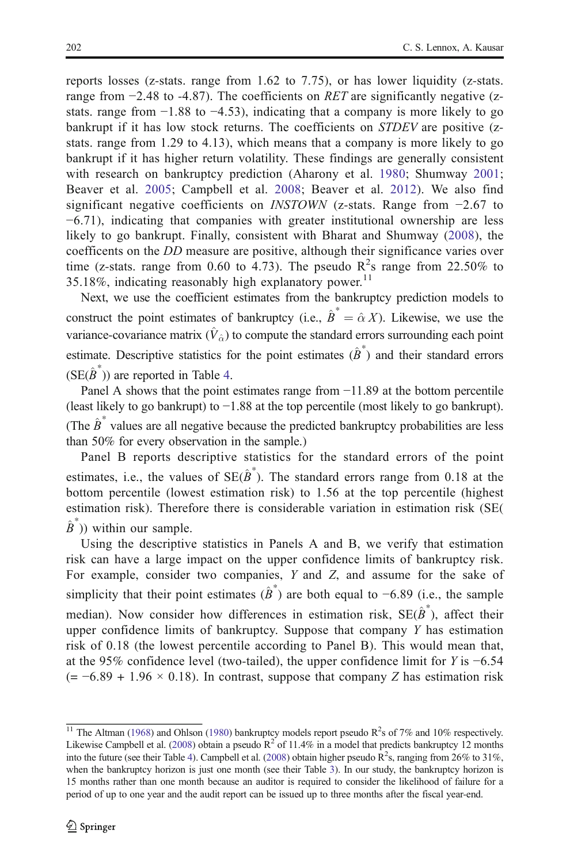reports losses (z-stats. range from 1.62 to 7.75), or has lower liquidity (z-stats. range from  $-2.48$  to  $-4.87$ ). The coefficients on RET are significantly negative (zstats. range from −1.88 to −4.53), indicating that a company is more likely to go bankrupt if it has low stock returns. The coefficients on *STDEV* are positive (zstats. range from 1.29 to 4.13), which means that a company is more likely to go bankrupt if it has higher return volatility. These findings are generally consistent with research on bankruptcy prediction (Aharony et al. [1980;](#page-30-0) Shumway [2001;](#page-31-0) Beaver et al. [2005](#page-30-0); Campbell et al. [2008](#page-30-0); Beaver et al. [2012\)](#page-30-0). We also find significant negative coefficients on *INSTOWN* (z-stats. Range from -2.67 to −6.71), indicating that companies with greater institutional ownership are less likely to go bankrupt. Finally, consistent with Bharat and Shumway ([2008](#page-30-0)), the coefficents on the DD measure are positive, although their significance varies over time (z-stats. range from 0.60 to 4.73). The pseudo  $R^2$ s range from 22.50% to 35.18%, indicating reasonably high explanatory power.<sup>11</sup>

Next, we use the coefficient estimates from the bankruptcy prediction models to construct the point estimates of bankruptcy (i.e.,  $\hat{B}^* = \hat{\alpha} X$ ). Likewise, we use the variance-covariance matrix  $(\hat{V}_\alpha)$  to compute the standard errors surrounding each point estimate. Descriptive statistics for the point estimates  $(\hat{B}^*)$  and their standard errors  $(SE(\hat{B}^*))$  are reported in Table [4](#page-20-0).

Panel A shows that the point estimates range from −11.89 at the bottom percentile (least likely to go bankrupt) to −1.88 at the top percentile (most likely to go bankrupt). (The  $\hat{B}^*$  values are all negative because the predicted bankruptcy probabilities are less than 50% for every observation in the sample.)

Panel B reports descriptive statistics for the standard errors of the point estimates, i.e., the values of  $SE(\hat{B}^*)$ . The standard errors range from 0.18 at the bottom percentile (lowest estimation risk) to 1.56 at the top percentile (highest estimation risk). Therefore there is considerable variation in estimation risk (SE(  $\hat{B}^*$ )) within our sample.

Using the descriptive statistics in Panels A and B, we verify that estimation risk can have a large impact on the upper confidence limits of bankruptcy risk. For example, consider two companies,  $Y$  and  $Z$ , and assume for the sake of simplicity that their point estimates  $(\hat{B}^*)$  are both equal to −6.89 (i.e., the sample median). Now consider how differences in estimation risk,  $SE(\hat{B}^*)$ , affect their upper confidence limits of bankruptcy. Suppose that company Y has estimation risk of 0.18 (the lowest percentile according to Panel B). This would mean that, at the 95% confidence level (two-tailed), the upper confidence limit for Y is −6.54  $(= -6.89 + 1.96 \times 0.18)$ . In contrast, suppose that company Z has estimation risk

<sup>&</sup>lt;sup>11</sup> The Altman ([1968](#page-30-0)) and Ohlson [\(1980](#page-31-0)) bankruptcy models report pseudo  $R^2$ s of 7% and 10% respectively. Likewise Campbell et al. ([2008](#page-30-0)) obtain a pseudo  $R^2$  of 11.4% in a model that predicts bankruptcy 12 months into the future (see their Table [4](#page-20-0)). Campbell et al. [\(2008\)](#page-30-0) obtain higher pseudo  $\mathbb{R}^2$ s, ranging from 26% to 31%, when the bankruptcy horizon is just one month (see their Table [3](#page-18-0)). In our study, the bankruptcy horizon is 15 months rather than one month because an auditor is required to consider the likelihood of failure for a period of up to one year and the audit report can be issued up to three months after the fiscal year-end.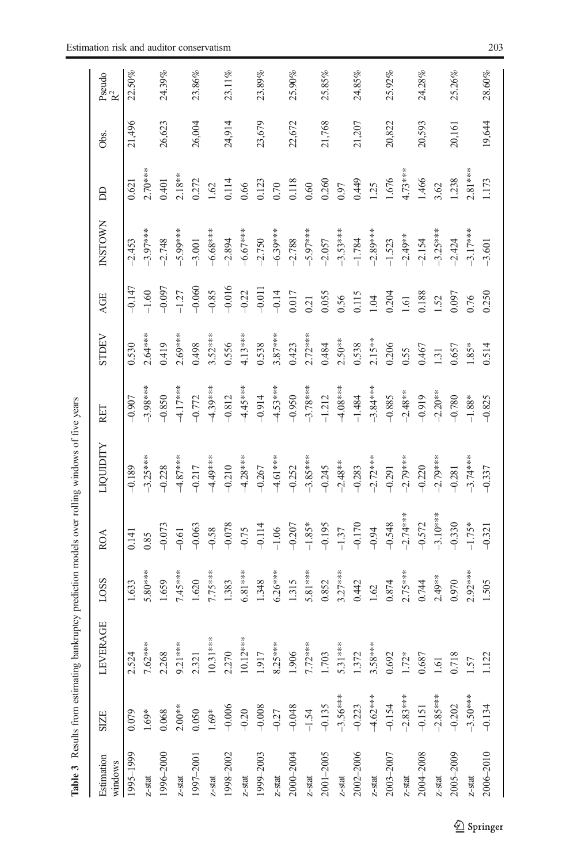<span id="page-18-0"></span>

| Estimation<br>windows                                           | <b>SIZE</b>         | LEVERAGE                                                                                  | LOSS      | <b>ROA</b> | LIQUIDITY  | RET        | STDEV     | <b>AGE</b> | <b>INSTOWN</b> | S         | Obs.   | Pseudo<br>$R^2$ |
|-----------------------------------------------------------------|---------------------|-------------------------------------------------------------------------------------------|-----------|------------|------------|------------|-----------|------------|----------------|-----------|--------|-----------------|
| 1995-1999                                                       | 0.079               | 2.524                                                                                     | .633      | 0.141      | $-0.189$   | $-0.907$   | 0.530     | $-0.147$   | $-2.453$       | 0.621     | 21,496 | $22.50\%$       |
| $z$ -stat                                                       | $1.69*$             |                                                                                           | 5.80***   | 0.85       | $-3.25***$ | $-3.98***$ | $2.64***$ | $-1.60$    | $-3.97***$     | $2.70***$ |        |                 |
| 1996-2000                                                       | 0.068               | 7.62***<br>2.268<br>9.21***<br>9.321<br>10.31***<br>10.12***<br>1.917<br>1.917<br>8.25*** | 1.659     | $-0.073$   | $-0.228$   | $-0.850$   | 0.419     | $-0.097$   | $-2.748$       | 0.401     | 26,623 | 24.39%          |
| $z$ -stat                                                       | $2.00**$            |                                                                                           | $7.45***$ | $-0.61$    | $-4.87***$ | $4.17***$  | $2.69***$ | $-1.27$    | $-5.99***$     | $2.18***$ |        |                 |
| 1997–2001                                                       | 0.050               |                                                                                           | 1.620     | $-0.063$   | $-0.217$   | $-0.772$   | 0.498     | $-0.060$   | $-3.001$       | 0.272     | 26,004 | 23.86%          |
| $z$ -stat                                                       | $1.69^{\ast}$       |                                                                                           | 7.75***   | $-0.58$    | $-4.49***$ | $-4.39***$ | $3.52***$ | $-0.85$    | $-6.68***$     | 1.62      |        |                 |
| $1998 - 2002$<br>$z$ -stat                                      | $-0.006$<br>$-0.20$ |                                                                                           | 1.383     | $-0.078$   | $-0.210$   | $-0.812$   | 0.556     | $-0.016$   | $-2.894$       | 0.114     | 24,914 | 23.11%          |
|                                                                 |                     |                                                                                           | $6.81***$ | $-0.75$    | $-4.28***$ | 4.45****   | 4.13***   | $-0.22$    | $-6.67***$     | 0.66      |        |                 |
| 1999–2003<br>$z$ -stat                                          | $-0.008$<br>$-0.27$ |                                                                                           | 1.348     | $-0.114$   | $-0.267$   | $-0.914$   | 0.538     | $-0.011$   | $-2.750$       | 0.123     | 23,679 | $23.89\%$       |
|                                                                 |                     |                                                                                           | $6.26***$ | $-1.06$    | $-4.61***$ | $-4.53***$ | $3.87***$ | $-0.14$    | $-6.39***$     | 0.70      |        |                 |
| $2000 - 2004$<br>z-stat                                         | $-0.048$            | 1.906                                                                                     | 1.315     | $-0.207$   | $-0.252$   | $-0.950$   | 0.423     | 0.017      | $-2.788$       | 0.118     | 22,672 | $25.90\%$       |
|                                                                 | $-1.54$             | $7.72***$                                                                                 | 5.81 ***  | $-1.85*$   | $-3.85***$ | $-3.78***$ | $2.72***$ | 0.21       | $-5.97***$     | 0.60      |        |                 |
| $\frac{2001-2005}{z\text{-stat}}$                               | $-0.135$            | 1.703                                                                                     | 0.852     | $-0.195$   | $-0.245$   | $-1.212$   | 0.484     | 0.055      | $-2.057$       | 0.260     | 21,768 | 25.85%          |
|                                                                 |                     |                                                                                           | $3.27***$ | $-1.37$    | $-2.48**$  | $4.8***$   | $2.50***$ | 0.56       | $-3.53***$     | 0.97      |        |                 |
| $2002 - 2006$<br>z-stat                                         | $-3.56***$          | 5.31***<br>5.31***                                                                        | 0.442     | $-0.170$   | $-0.283$   | $-1.484$   | 0.538     | 0.115      | $-1.784$       | 0.449     | 21,207 | 24.85%          |
|                                                                 |                     | $3.58***$                                                                                 | 1.62      | $-0.94$    | $-2.72***$ | $-3.84***$ | $2.15***$ | 1.04       | $-2.89***$     | 1.25      |        |                 |
| $\begin{array}{l} 2003{-}2007 \\ z{-}\mathrm{stat} \end{array}$ | $-4.62***$          | 0.692                                                                                     | 0.874     | $-0.548$   | $-0.291$   | $-0.885$   | 0.206     | 0.204      | $-1.523$       | 1.676     | 20,822 | 25.92%          |
|                                                                 | $-2.83***$          | $1.72*$                                                                                   | $2.75***$ | $-2.74***$ | $-2.79***$ | $-2.48***$ | 0.55      | 1.61       | $-2.49**$      | $4.73***$ |        |                 |
|                                                                 | $-0.151$            |                                                                                           | 0.744     | $-0.572$   | $-0.220$   | $-0.919$   | 0.467     | 0.188      | $-2.154$       | 1.466     | 20,593 | 24.28%          |
| $2004 - 2008$<br>z-stat                                         | $-2.85***$          | $\begin{array}{c} 0.687 \\ 1.61 \\ 0.718 \end{array}$                                     | $2.49**$  | $-3.10***$ | $-2.79***$ | $-2.20**$  | 1.31      | 1.52       | $-3.25***$     | 3.62      |        |                 |
| $2005 - 2009$<br>z-stat                                         |                     |                                                                                           | 0.970     | $-0.330$   | $-0.281$   | $-0.780$   | 0.657     | 0.097      | $-2.424$       | 1.238     | 20,161 | 25.26%          |
|                                                                 | $-3.50***$          | 1.57                                                                                      | $2.92***$ | $-1.75*$   | $-3.74***$ | $-1.88*$   | $1.85*$   | 0.76       | $-3.17***$     | $2.81***$ |        |                 |
| $2006 - 2010$                                                   | $-0.134$            | 1.122                                                                                     | 1.505     | $-0.321$   | $-0.337$   | $-0.825$   | 0.514     | 0.250      | $-3.601$       | 1.173     | 19,644 | $28.60\%$       |
|                                                                 |                     |                                                                                           |           |            |            |            |           |            |                |           |        |                 |

Table 3 Results from estimating bankruptcy prediction models over rolling windows of five years Table 3 Results from estimating bankruptcy prediction models over rolling windows of five years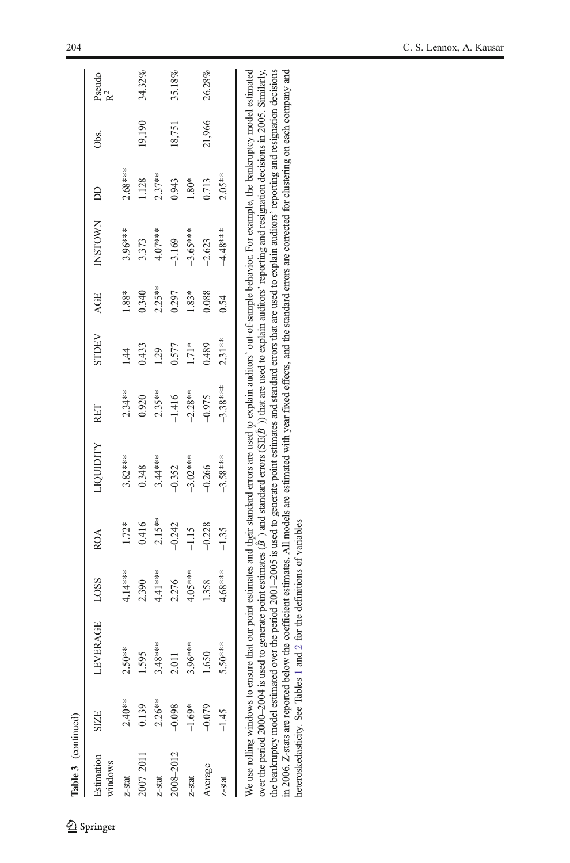| Table 3 (continued)          |             |                 |           |                      |                 |                        |                |                    |                |                    |        |                 |
|------------------------------|-------------|-----------------|-----------|----------------------|-----------------|------------------------|----------------|--------------------|----------------|--------------------|--------|-----------------|
| <b>Extimation</b><br>vindows | <b>SIZE</b> | <b>LEVERAGE</b> | LOSS      | <b>ROA</b>           | <b>TOUTHITY</b> | RET                    | STDEV          | AGE                | <b>INSTOWN</b> | å                  | Obs.   | Pseudo<br>$R^2$ |
| $z$ -stat                    | $-2.40**$   | $2.50***$       | 4.14***   |                      | $-3.82***$      | $-2.34**$              | $\overline{4}$ | 1.88*              | $-3.96***$     | $2.68***$          |        |                 |
|                              | $-0.139$    | 1.595           | 2.390     | $-1.72*$<br>$-0.416$ | $-0.348$        | 0.920                  | 0.433          | 0.340              | -3.373         | 1.128              | 19,190 | 34.32%          |
| $2007 - 2011$<br>z-stat      | $-2.26***$  | $3.48***$       | $4.41***$ |                      | $-3.44***$      |                        | 1.29           |                    | $-4.07***$     |                    |        |                 |
|                              | $-0.098$    | 2.011           | 2.276     | $-2.15***$<br>-0.242 | $-0.352$        | $-2.35***$<br>$-1.416$ | 0.577          | $2.25***$<br>0.297 | $-3.169$       | $2.37***$<br>0.943 | 18,751 | 35.18%          |
| $2008 - 2012$<br>z-stat      | $-1.69*$    | $3.96***$       | $4.05***$ | $-1.15$              | $-3.02***$      | $-2.28$ **             | $1.71*$        | $1.83*$            | $-3.65***$     | $1.80\mathrm{*}$   |        |                 |
| Average                      | $-0.079$    | 1.650           | 1.358     | $-0.228$             | $-0.266$        | -0.975                 | 0.489          | 0.088              | $-2.623$       | 0.713              | 21,966 | 26.28%          |
| $z$ -stat                    | $-1.45$     | 5.50***         | $4.68***$ | $-1.35$              | $-3.58***$      | $-3.38***$             | $2.31**$       | 0.54               | 4.48***        | $2.05***$          |        |                 |
|                              |             |                 |           |                      |                 |                        |                |                    |                |                    |        |                 |

the bankruptcy model estimated over the period 2001-2005 is used to generate point estimates and standard errors that are used to explain auditors' reporting and resignation decisions in 2006. Z-stats are reported below the coefficient estimates. All models are estimated with year fixed effects, and the standard errors are corrected for clustering on each company and We use rolling windows to ensure that our point estimates and their standard errors are used to explain auditors' out-of-sample behavior. For example, the bankruptcy model estimated )) that are used to explain auditors' reporting and resignation decisions in 2005. Similarly, the bankruptcy model estimated over the period 2001–2005 is used to generate point estimates and standard errors that are used to explain auditors' reporting and resignation decisions in 2006. Z-stats are reported below the coefficient estimates. All models are estimated with year fixed effects, and the standard errors are corrected for clustering on each company and \* $\hat{\mathbf{z}}$ ) and standard errors (SE( heteroskedasticity. See Tables 1 and 2 for the definitions of variables heteroskedasticity. See Tables [1](#page-14-0) and [2](#page-15-0) for the definitions of variables  $\hat{\mathbf{z}}$ over the period 2000–2004 is used to generate point estimates (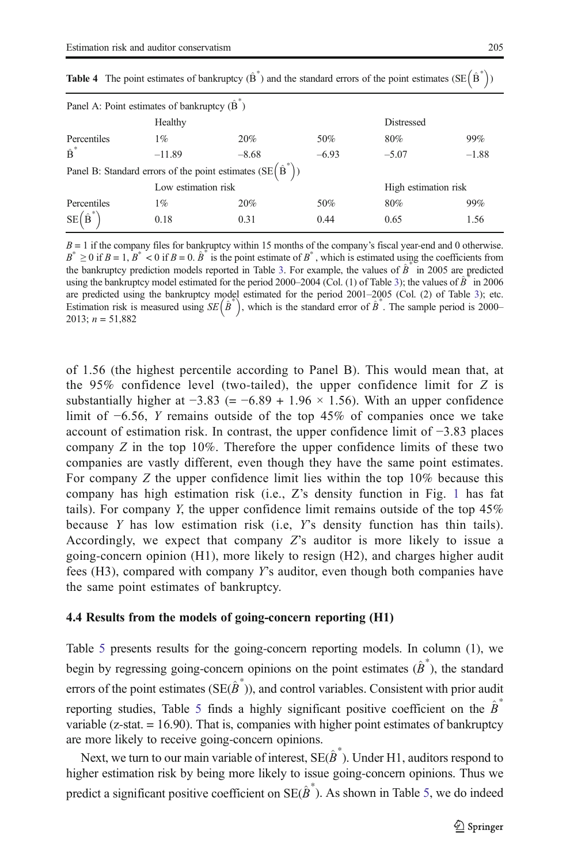| Panel A: Point estimates of bankruptcy $(\hat{B})$ |                     |                                                                   |         |                      |         |
|----------------------------------------------------|---------------------|-------------------------------------------------------------------|---------|----------------------|---------|
|                                                    | Healthy             |                                                                   |         | Distressed           |         |
| Percentiles                                        | $1\%$               | 20%                                                               | 50%     | 80%                  | 99%     |
| $\hat{\mathbf{B}}^*$                               | $-11.89$            | $-8.68$                                                           | $-6.93$ | $-5.07$              | $-1.88$ |
|                                                    |                     | Panel B: Standard errors of the point estimates $(SE(\hat{B}^*))$ |         |                      |         |
|                                                    | Low estimation risk |                                                                   |         | High estimation risk |         |
| Percentiles                                        | $1\%$               | 20%                                                               | 50%     | 80%                  | 99%     |
| $SE(\hat{B})$                                      | 0.18                | 0.31                                                              | 0.44    | 0.65                 | 1.56    |

<span id="page-20-0"></span>**Table 4** The point estimates of bankruptcy  $(\hat{B}^*)$  and the standard errors of the point estimates (SE $(\hat{B}^*)$ )

 $B = 1$  if the company files for bankruptcy within 15 months of the company's fiscal year-end and 0 otherwise.  $B^* \ge 0$  if  $B = 1$ ,  $B^* < 0$  if  $B = 0$ .  $\hat{B}^*$  is the point estimate of  $B^*$ , which is estimated using the coefficients from the bankruptcy prediction models reported in Table [3.](#page-18-0) For example, the values of  $\hat{B}^*$  in 2005 are predicted using the bankruptcy model estimated for the period 2000–2004 (Col. (1) of Table [3\)](#page-18-0); the values of  $\hat{B}^*$  in 2006 are predicted using the bankruptcy model estimated for the period 2001–2005 (Col. (2) of Table [3\)](#page-18-0); etc. Estimation risk is measured using  $SE(\hat{B}^*)$ , which is the standard error of  $\hat{B}^*$ . The sample period is 2000– 2013;  $n = 51,882$ 

of 1.56 (the highest percentile according to Panel B). This would mean that, at the  $95\%$  confidence level (two-tailed), the upper confidence limit for Z is substantially higher at  $-3.83$  (=  $-6.89 + 1.96 \times 1.56$ ). With an upper confidence limit of −6.56, Y remains outside of the top 45% of companies once we take account of estimation risk. In contrast, the upper confidence limit of −3.83 places company  $Z$  in the top 10%. Therefore the upper confidence limits of these two companies are vastly different, even though they have the same point estimates. For company Z the upper confidence limit lies within the top 10% because this company has high estimation risk (i.e., Z's density function in Fig. [1](#page-5-0) has fat tails). For company Y, the upper confidence limit remains outside of the top  $45\%$ because  $Y$  has low estimation risk (i.e,  $Y$ s density function has thin tails). Accordingly, we expect that company Z's auditor is more likely to issue a going-concern opinion (H1), more likely to resign (H2), and charges higher audit fees (H3), compared with company Y's auditor, even though both companies have the same point estimates of bankruptcy.

#### 4.4 Results from the models of going-concern reporting (H1)

Table [5](#page-21-0) presents results for the going-concern reporting models. In column (1), we begin by regressing going-concern opinions on the point estimates  $(\hat{\boldsymbol{B}}^*)$ , the standard errors of the point estimates (SE $(\hat{B}^*)$ ), and control variables. Consistent with prior audit reporting studies. Table [5](#page-21-0) finds a highly significant positive coefficient on the  $\hat{B}^*$ variable ( $z$ -stat.  $= 16.90$ ). That is, companies with higher point estimates of bankruptcy are more likely to receive going-concern opinions.

Next, we turn to our main variable of interest,  $\text{SE}(\hat{B}^*)$ . Under H1, auditors respond to higher estimation risk by being more likely to issue going-concern opinions. Thus we predict a significant positive coefficient on  $SE(\hat{B}^*)$ . As shown in Table [5](#page-21-0), we do indeed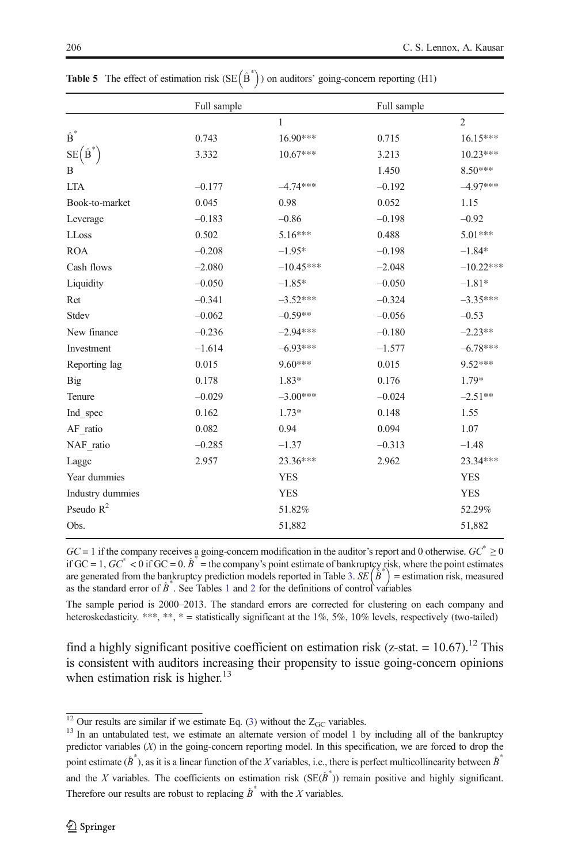|                    | Full sample |              | Full sample |                |
|--------------------|-------------|--------------|-------------|----------------|
|                    |             | $\mathbf{1}$ |             | $\overline{2}$ |
| $\hat{\text{B}}^*$ | 0.743       | 16.90***     | 0.715       | 16.15***       |
| $SE(B^{\dagger})$  | 3.332       | $10.67***$   | 3.213       | 10.23***       |
| В                  |             |              | 1.450       | 8.50***        |
| <b>LTA</b>         | $-0.177$    | $-4.74***$   | $-0.192$    | $-4.97***$     |
| Book-to-market     | 0.045       | 0.98         | 0.052       | 1.15           |
| Leverage           | $-0.183$    | $-0.86$      | $-0.198$    | $-0.92$        |
| LLoss              | 0.502       | $5.16***$    | 0.488       | 5.01***        |
| <b>ROA</b>         | $-0.208$    | $-1.95*$     | $-0.198$    | $-1.84*$       |
| Cash flows         | $-2.080$    | $-10.45***$  | $-2.048$    | $-10.22***$    |
| Liquidity          | $-0.050$    | $-1.85*$     | $-0.050$    | $-1.81*$       |
| Ret                | $-0.341$    | $-3.52***$   | $-0.324$    | $-3.35***$     |
| Stdev              | $-0.062$    | $-0.59**$    | $-0.056$    | $-0.53$        |
| New finance        | $-0.236$    | $-2.94***$   | $-0.180$    | $-2.23**$      |
| Investment         | $-1.614$    | $-6.93***$   | $-1.577$    | $-6.78***$     |
| Reporting lag      | 0.015       | 9.60***      | 0.015       | 9.52***        |
| <b>Big</b>         | 0.178       | 1.83*        | 0.176       | 1.79*          |
| Tenure             | $-0.029$    | $-3.00***$   | $-0.024$    | $-2.51**$      |
| Ind spec           | 0.162       | $1.73*$      | 0.148       | 1.55           |
| AF ratio           | 0.082       | 0.94         | 0.094       | 1.07           |
| NAF_ratio          | $-0.285$    | $-1.37$      | $-0.313$    | $-1.48$        |
| Lagge              | 2.957       | 23.36***     | 2.962       | 23.34***       |
| Year dummies       |             | <b>YES</b>   |             | <b>YES</b>     |
| Industry dummies   |             | <b>YES</b>   |             | <b>YES</b>     |
| Pseudo $R^2$       |             | 51.82%       |             | 52.29%         |
| Obs.               |             | 51,882       |             | 51,882         |

<span id="page-21-0"></span>**Table 5** The effect of estimation risk  $(SE(\hat{B}^*))$  on auditors' going-concern reporting (H1)

 $GC = 1$  if the company receives a going-concern modification in the auditor's report and 0 otherwise.  $GC^* \ge 0$ if GC = 1,  $GC^* < 0$  if GC = 0.  $\hat{B}^*$  = the company's point estimate of bankruptcy risk, where the point estimates are generated from the bankruptcy prediction models reported in Table [3](#page-18-0).  $SE(\hat{B}^*)$  = estimation risk, measured as the standard error of  $\hat{B}^*$ . See Tables [1](#page-14-0) and [2](#page-15-0) for the definitions of control variables

The sample period is 2000–2013. The standard errors are corrected for clustering on each company and heteroskedasticity. \*\*\*, \*\*, \* = statistically significant at the  $1\%$ ,  $5\%$ ,  $10\%$  levels, respectively (two-tailed)

find a highly significant positive coefficient on estimation risk (z-stat. =  $10.67$ ).<sup>12</sup> This is consistent with auditors increasing their propensity to issue going-concern opinions when estimation risk is higher. $13$ 

 $\frac{12}{13}$  Our results are similar if we estimate Eq. ([3\)](#page-10-0) without the Z<sub>GC</sub> variables.<br><sup>13</sup> In an untabulated test, we estimate an alternate version of model 1 by including all of the bankruptcy predictor variables (X) in the going-concern reporting model. In this specification, we are forced to drop the point estimate  $(\hat{B}^*)$ , as it is a linear function of the X variables, i.e., there is perfect multicollinearity between  $\hat{B}^*$ and the X variables. The coefficients on estimation risk  $(SE(\hat{\beta}^*))$  remain positive and highly significant. Therefore our results are robust to replacing  $\hat{B}^*$  with the X variables.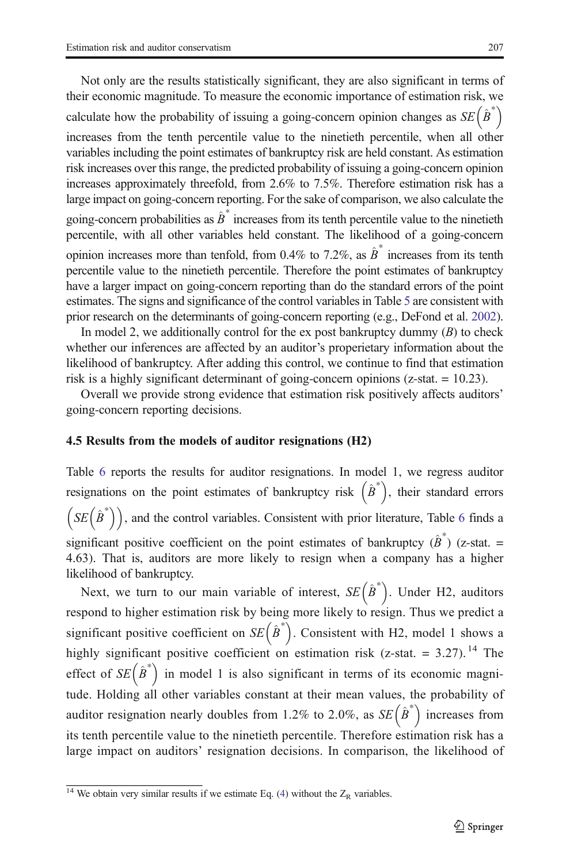Not only are the results statistically significant, they are also significant in terms of their economic magnitude. To measure the economic importance of estimation risk, we calculate how the probability of issuing a going-concern opinion changes as  $SE(B^*)$ increases from the tenth percentile value to the ninetieth percentile, when all other variables including the point estimates of bankruptcy risk are held constant. As estimation risk increases over this range, the predicted probability of issuing a going-concern opinion

increases approximately threefold, from 2.6% to 7.5%. Therefore estimation risk has a large impact on going-concern reporting. For the sake of comparison, we also calculate the going-concern probabilities as  $\hat{B}^*$  increases from its tenth percentile value to the ninetieth percentile, with all other variables held constant. The likelihood of a going-concern opinion increases more than tenfold, from 0.4% to 7.2%, as  $\hat{B}^*$  increases from its tenth percentile value to the ninetieth percentile. Therefore the point estimates of bankruptcy have a larger impact on going-concern reporting than do the standard errors of the point estimates. The signs and significance of the control variables in Table [5](#page-21-0) are consistent with prior research on the determinants of going-concern reporting (e.g., DeFond et al. [2002\)](#page-30-0).

In model 2, we additionally control for the ex post bankruptcy dummy  $(B)$  to check whether our inferences are affected by an auditor's properietary information about the likelihood of bankruptcy. After adding this control, we continue to find that estimation risk is a highly significant determinant of going-concern opinions (z-stat. = 10.23).

Overall we provide strong evidence that estimation risk positively affects auditors' going-concern reporting decisions.

#### 4.5 Results from the models of auditor resignations (H2)

Table [6](#page-23-0) reports the results for auditor resignations. In model 1, we regress auditor resignations on the point estimates of bankruptcy risk  $(\hat{B}^*)$ , their standard errors  $(SE(\hat{B}^*))$ , and the control variables. Consistent with prior literature, Table [6](#page-23-0) finds a significant positive coefficient on the point estimates of bankruptcy  $(\hat{B}^*)$  (z-stat. = 4.63). That is, auditors are more likely to resign when a company has a higher likelihood of bankruptcy.

Next, we turn to our main variable of interest,  $SE(\hat{B}^*)$ . Under H2, auditors respond to higher estimation risk by being more likely to resign. Thus we predict a significant positive coefficient on  $SE(\hat{B}^*)$ . Consistent with H2, model 1 shows a highly significant positive coefficient on estimation risk (z-stat. = 3.27).<sup>14</sup> The effect of  $SE(\hat{B}^*)$  in model 1 is also significant in terms of its economic magnitude. Holding all other variables constant at their mean values, the probability of auditor resignation nearly doubles from 1.2% to 2.0%, as  $SE(\hat{B}^*)$  increases from its tenth percentile value to the ninetieth percentile. Therefore estimation risk has a large impact on auditors' resignation decisions. In comparison, the likelihood of

<sup>&</sup>lt;sup>14</sup> We obtain very similar results if we estimate Eq. [\(4\)](#page-10-0) without the  $Z_R$  variables.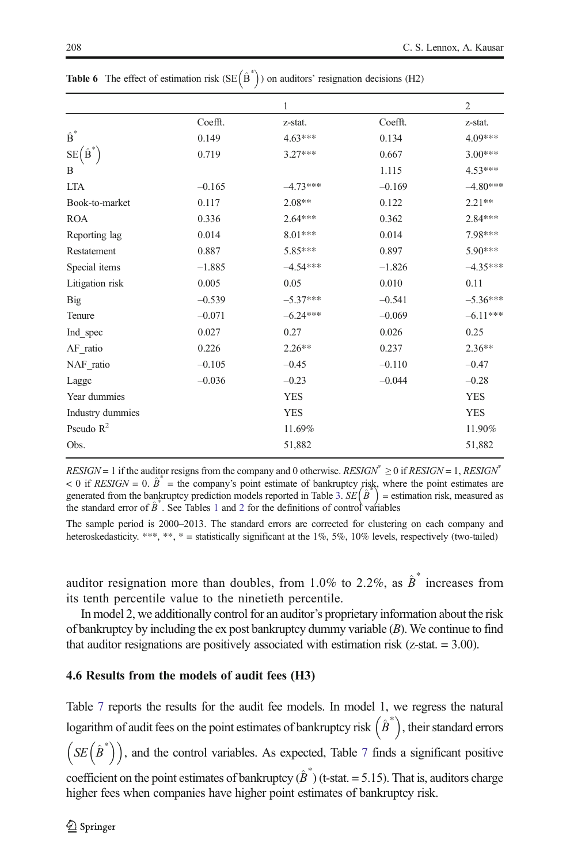|                            |          | $\mathbf{1}$ |          | $\overline{c}$ |
|----------------------------|----------|--------------|----------|----------------|
|                            | Coefft.  | z-stat.      | Coefft.  | z-stat.        |
| $\hat{\bar{\mathbf{B}}}^*$ | 0.149    | $4.63***$    | 0.134    | 4.09***        |
| $SE(B^*)$                  | 0.719    | $3.27***$    | 0.667    | $3.00***$      |
| B                          |          |              | 1.115    | 4.53***        |
| <b>LTA</b>                 | $-0.165$ | $-4.73***$   | $-0.169$ | $-4.80***$     |
| Book-to-market             | 0.117    | $2.08**$     | 0.122    | $2.21***$      |
| <b>ROA</b>                 | 0.336    | $2.64***$    | 0.362    | 2.84***        |
| Reporting lag              | 0.014    | $8.01***$    | 0.014    | 7.98***        |
| Restatement                | 0.887    | 5.85***      | 0.897    | 5.90***        |
| Special items              | $-1.885$ | $-4.54***$   | $-1.826$ | $-4.35***$     |
| Litigation risk            | 0.005    | 0.05         | 0.010    | 0.11           |
| Big                        | $-0.539$ | $-5.37***$   | $-0.541$ | $-5.36***$     |
| Tenure                     | $-0.071$ | $-6.24***$   | $-0.069$ | $-6.11***$     |
| Ind spec                   | 0.027    | 0.27         | 0.026    | 0.25           |
| AF ratio                   | 0.226    | $2.26***$    | 0.237    | $2.36**$       |
| NAF ratio                  | $-0.105$ | $-0.45$      | $-0.110$ | $-0.47$        |
| Lagge                      | $-0.036$ | $-0.23$      | $-0.044$ | $-0.28$        |
| Year dummies               |          | <b>YES</b>   |          | <b>YES</b>     |
| Industry dummies           |          | <b>YES</b>   |          | <b>YES</b>     |
| Pseudo $R^2$               |          | 11.69%       |          | 11.90%         |
| Obs.                       |          | 51,882       |          | 51,882         |

<span id="page-23-0"></span>**Table 6** The effect of estimation risk  $(SE(\hat{B}^*))$  on auditors' resignation decisions (H2)

 $RESIGN = 1$  if the auditor resigns from the company and 0 otherwise.  $RESIGN^* \geq 0$  if  $RESIGN = 1$ ,  $RESIGN^*$  $< 0$  if RESIGN = 0.  $\hat{B}^*$  = the company's point estimate of bankruptcy risk, where the point estimates are generated from the bankruptcy prediction models reported in Table [3.](#page-18-0)  $SE(\hat{B}^*)$  = estimation risk, measured as the standard error of  $\hat{B}^*$ . See Tables [1](#page-14-0) and [2](#page-15-0) for the definitions of control variables

The sample period is 2000–2013. The standard errors are corrected for clustering on each company and heteroskedasticity. \*\*\*, \*\*, \* = statistically significant at the 1%, 5%, 10% levels, respectively (two-tailed)

auditor resignation more than doubles, from 1.0% to 2.2%, as  $\hat{B}^*$  increases from its tenth percentile value to the ninetieth percentile.

In model 2, we additionally control for an auditor's proprietary information about the risk of bankruptcy by including the ex post bankruptcy dummy variable (B). We continue to find that auditor resignations are positively associated with estimation risk ( $z$ -stat.  $= 3.00$ ).

#### 4.6 Results from the models of audit fees (H3)

Table [7](#page-24-0) reports the results for the audit fee models. In model 1, we regress the natural logarithm of audit fees on the point estimates of bankruptcy risk  $(\hat{B}^*)$ , their standard errors  $(SE(\hat{B}^*))$ , and the control variables. As expected, Table [7](#page-24-0) finds a significant positive coefficient on the point estimates of bankruptcy  $(\hat{B}^*)$  (t-stat. = 5.15). That is, auditors charge higher fees when companies have higher point estimates of bankruptcy risk.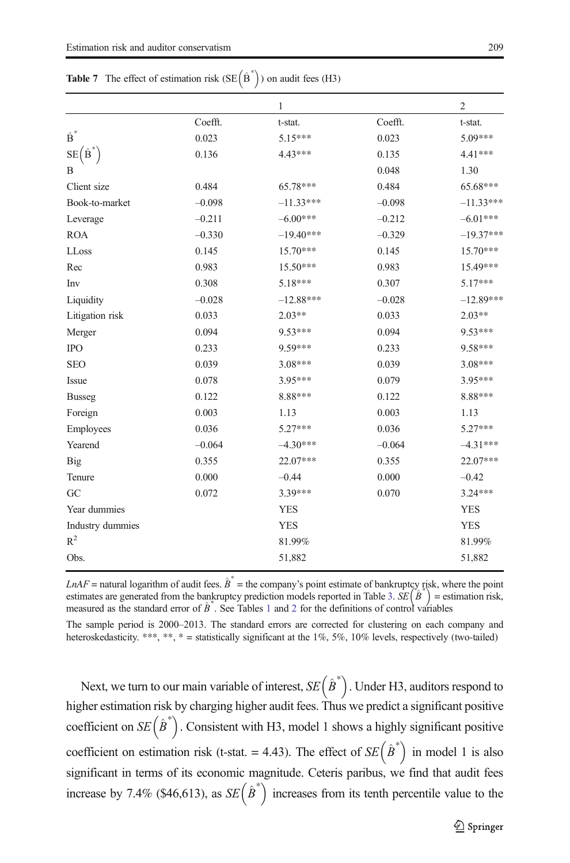|                    |          | 1           |          | $\overline{2}$ |
|--------------------|----------|-------------|----------|----------------|
|                    | Coefft.  | t-stat.     | Coefft.  | t-stat.        |
| $\hat{\text{B}}^*$ | 0.023    | $5.15***$   | 0.023    | 5.09***        |
| $SE(B^*)$          | 0.136    | 4.43***     | 0.135    | $4.41***$      |
| B                  |          |             | 0.048    | 1.30           |
|                    |          |             |          |                |
| Client size        | 0.484    | 65.78***    | 0.484    | 65.68***       |
| Book-to-market     | $-0.098$ | $-11.33***$ | $-0.098$ | $-11.33***$    |
| Leverage           | $-0.211$ | $-6.00***$  | $-0.212$ | $-6.01***$     |
| <b>ROA</b>         | $-0.330$ | $-19.40***$ | $-0.329$ | $-19.37***$    |
| LLoss              | 0.145    | $15.70***$  | 0.145    | 15.70***       |
| Rec                | 0.983    | 15.50***    | 0.983    | 15.49***       |
| Inv                | 0.308    | 5.18***     | 0.307    | 5.17***        |
| Liquidity          | $-0.028$ | $-12.88***$ | $-0.028$ | $-12.89***$    |
| Litigation risk    | 0.033    | $2.03**$    | 0.033    | $2.03**$       |
| Merger             | 0.094    | 9.53***     | 0.094    | $9.53***$      |
| <b>IPO</b>         | 0.233    | 9.59***     | 0.233    | 9.58***        |
| <b>SEO</b>         | 0.039    | 3.08***     | 0.039    | $3.08***$      |
| Issue              | 0.078    | 3.95***     | 0.079    | 3.95***        |
| <b>Busseg</b>      | 0.122    | 8.88***     | 0.122    | 8.88***        |
| Foreign            | 0.003    | 1.13        | 0.003    | 1.13           |
| Employees          | 0.036    | $5.27***$   | 0.036    | 5.27***        |
| Yearend            | $-0.064$ | $-4.30***$  | $-0.064$ | $-4.31***$     |
| <b>Big</b>         | 0.355    | 22.07***    | 0.355    | 22.07***       |
| Tenure             | 0.000    | $-0.44$     | 0.000    | $-0.42$        |
| GC                 | 0.072    | 3.39***     | 0.070    | $3.24***$      |
| Year dummies       |          | <b>YES</b>  |          | <b>YES</b>     |
| Industry dummies   |          | <b>YES</b>  |          | <b>YES</b>     |
| $R^2$              |          | 81.99%      |          | 81.99%         |
| Obs.               |          | 51,882      |          | 51,882         |
|                    |          |             |          |                |

<span id="page-24-0"></span>**Table 7** The effect of estimation risk  $(SE(\hat{B}^*))$  on audit fees (H3)

 $LnAF$  = natural logarithm of audit fees.  $\hat{B}^*$  = the company's point estimate of bankruptcy risk, where the point estimates are generated from the bankruptcy prediction models reported in Table [3.](#page-18-0)  $SE(\hat{B}^*)$  = estimation risk, measured as the standard error of  $\hat{B}^*$ . See Tables [1](#page-14-0) and [2](#page-15-0) for the definitions of control variables

The sample period is 2000–2013. The standard errors are corrected for clustering on each company and heteroskedasticity. \*\*\*, \*\*, \* = statistically significant at the 1%, 5%, 10% levels, respectively (two-tailed)

Next, we turn to our main variable of interest,  $SE(\hat{B}^*)$ . Under H3, auditors respond to higher estimation risk by charging higher audit fees. Thus we predict a significant positive coefficient on  $SE(\hat{B}^*)$ . Consistent with H3, model 1 shows a highly significant positive coefficient on estimation risk (t-stat. = 4.43). The effect of  $SE(\hat{B}^*)$  in model 1 is also significant in terms of its economic magnitude. Ceteris paribus, we find that audit fees increase by 7.4% (\$46,613), as  $SE(\hat{B}^*)$  increases from its tenth percentile value to the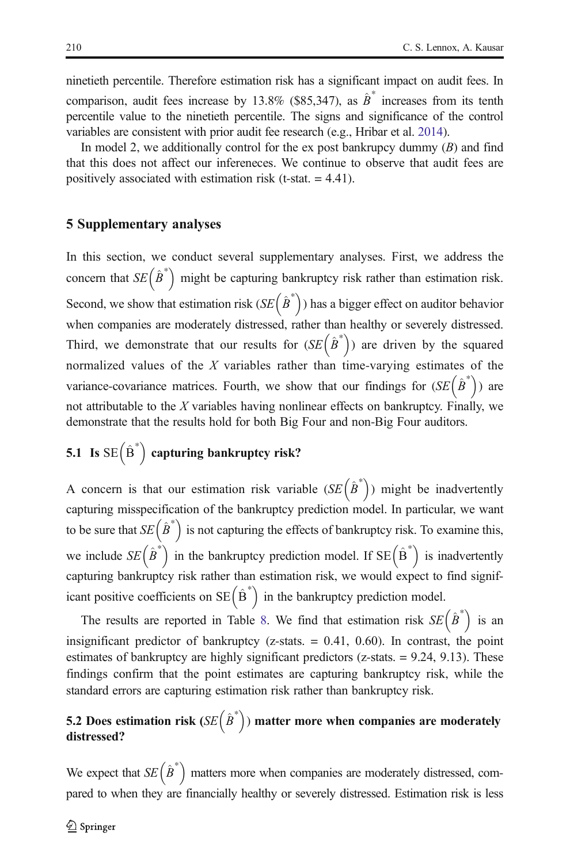<span id="page-25-0"></span>ninetieth percentile. Therefore estimation risk has a significant impact on audit fees. In comparison, audit fees increase by 13.8% (\$85,347), as  $\hat{B}^*$  increases from its tenth percentile value to the ninetieth percentile. The signs and significance of the control variables are consistent with prior audit fee research (e.g., Hribar et al. [2014\)](#page-31-0).

In model 2, we additionally control for the ex post bankrupcy dummy  $(B)$  and find that this does not affect our infereneces. We continue to observe that audit fees are positively associated with estimation risk (t-stat. = 4.41).

#### 5 Supplementary analyses

In this section, we conduct several supplementary analyses. First, we address the concern that  $SE(\hat{B}^*)$  might be capturing bankruptcy risk rather than estimation risk. Second, we show that estimation risk  $(SE(\hat{B}^*))$  has a bigger effect on auditor behavior when companies are moderately distressed, rather than healthy or severely distressed. Third, we demonstrate that our results for  $(SE(\hat{B}^*))$  are driven by the squared normalized values of the  $X$  variables rather than time-varying estimates of the variance-covariance matrices. Fourth, we show that our findings for  $(SE(\hat{B}^*))$  are not attributable to the  $X$  variables having nonlinear effects on bankruptcy. Finally, we demonstrate that the results hold for both Big Four and non-Big Four auditors.

# 5.1 Is  $SE\left(\hat{B}^*\right)$  capturing bankruptcy risk?

A concern is that our estimation risk variable  $(SE(\hat{B}^*))$  might be inadvertently capturing misspecification of the bankruptcy prediction model. In particular, we want to be sure that  $SE(\hat{B}^*$  is not capturing the effects of bankruptcy risk. To examine this, we include  $SE(\hat{B}^*)$  in the bankruptcy prediction model. If  $SE(\hat{B}^*)$  is inadvertently capturing bankruptcy risk rather than estimation risk, we would expect to find significant positive coefficients on  $SE(\hat{B}^*)$  in the bankruptcy prediction model.

The results are reported in Table [8.](#page-26-0) We find that estimation risk  $SE(\hat{B}^*)$  is an insignificant predictor of bankruptcy ( $z$ -stats. = 0.41, 0.60). In contrast, the point estimates of bankruptcy are highly significant predictors (z-stats. = 9.24, 9.13). These findings confirm that the point estimates are capturing bankruptcy risk, while the standard errors are capturing estimation risk rather than bankruptcy risk.

## 5.2 Does estimation risk ( $SE(\hat{B}^*)$ ) matter more when companies are moderately distressed?

We expect that  $SE(\hat{B}^*)$  matters more when companies are moderately distressed, compared to when they are financially healthy or severely distressed. Estimation risk is less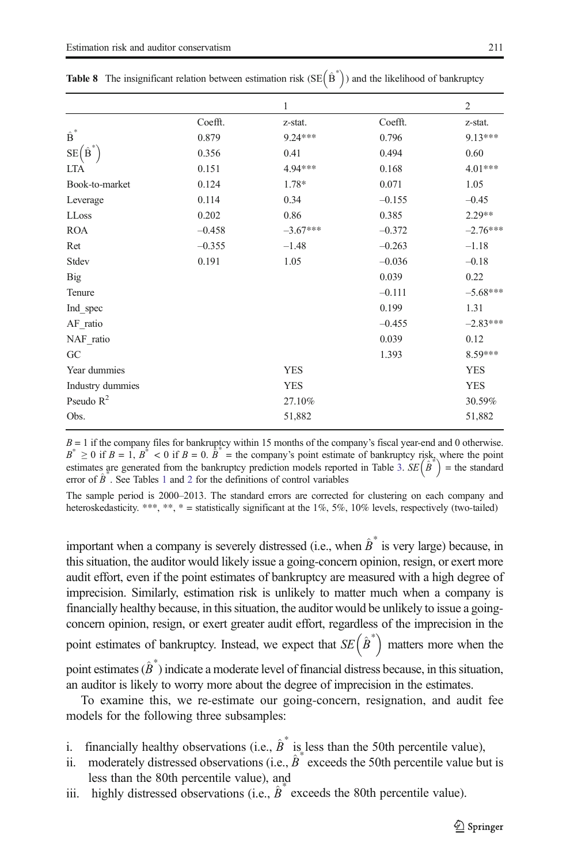|          | 1          |          | $\overline{2}$ |
|----------|------------|----------|----------------|
| Coefft.  | z-stat.    | Coefft.  | z-stat.        |
| 0.879    | 9.24 ***   | 0.796    | $9.13***$      |
| 0.356    | 0.41       | 0.494    | 0.60           |
| 0.151    | 4.94 ***   | 0.168    | $4.01***$      |
| 0.124    | 1.78*      | 0.071    | 1.05           |
| 0.114    | 0.34       | $-0.155$ | $-0.45$        |
| 0.202    | 0.86       | 0.385    | $2.29**$       |
| $-0.458$ | $-3.67***$ | $-0.372$ | $-2.76***$     |
| $-0.355$ | $-1.48$    | $-0.263$ | $-1.18$        |
| 0.191    | 1.05       | $-0.036$ | $-0.18$        |
|          |            | 0.039    | 0.22           |
|          |            | $-0.111$ | $-5.68***$     |
|          |            | 0.199    | 1.31           |
|          |            | $-0.455$ | $-2.83***$     |
|          |            | 0.039    | 0.12           |
|          |            | 1.393    | 8.59***        |
|          | <b>YES</b> |          | <b>YES</b>     |
|          | <b>YES</b> |          | <b>YES</b>     |
|          | 27.10%     |          | 30.59%         |
|          | 51,882     |          | 51,882         |
|          |            |          |                |

<span id="page-26-0"></span>

|  | <b>Table 8</b> The insignificant relation between estimation risk (SE $(\hat{B}^*)$ ) and the likelihood of bankruptcy |  |  |  |  |
|--|------------------------------------------------------------------------------------------------------------------------|--|--|--|--|
|--|------------------------------------------------------------------------------------------------------------------------|--|--|--|--|

 $B = 1$  if the company files for bankruptcy within 15 months of the company's fiscal year-end and 0 otherwise.  $B^* \ge 0$  if  $B = 1$ ,  $B^* < 0$  if  $B = 0$ .  $\hat{B}^* =$  the company's point estimate of bankruptcy risk, where the point estimates are generated from the bankruptcy prediction models reported in Table [3](#page-18-0).  $SE(\hat{B}^*)$  = the standard error of  $\hat{B}^*$ . See Tables [1](#page-14-0) and [2](#page-15-0) for the definitions of control variables

The sample period is 2000–2013. The standard errors are corrected for clustering on each company and heteroskedasticity. \*\*\*, \*\*, \* = statistically significant at the  $1\%$ ,  $5\%$ ,  $10\%$  levels, respectively (two-tailed)

important when a company is severely distressed (i.e., when  $\hat{B}^*$  is very large) because, in this situation, the auditor would likely issue a going-concern opinion, resign, or exert more audit effort, even if the point estimates of bankruptcy are measured with a high degree of imprecision. Similarly, estimation risk is unlikely to matter much when a company is financially healthy because, in this situation, the auditor would be unlikely to issue a goingconcern opinion, resign, or exert greater audit effort, regardless of the imprecision in the point estimates of bankruptcy. Instead, we expect that  $SE(\hat{B}^*)$  matters more when the

point estimates  $(\hat{B}^*)$  indicate a moderate level of financial distress because, in this situation, an auditor is likely to worry more about the degree of imprecision in the estimates.

To examine this, we re-estimate our going-concern, resignation, and audit fee models for the following three subsamples:

- i. financially healthy observations (i.e.,  $\hat{B}^*$  is less than the 50th percentile value),
- ii. moderately distressed observations (i.e.,  $\hat{B}^*$  exceeds the 50th percentile value but is less than the 80th percentile value), and
- iii. highly distressed observations (i.e.,  $\hat{B}^*$  exceeds the 80th percentile value).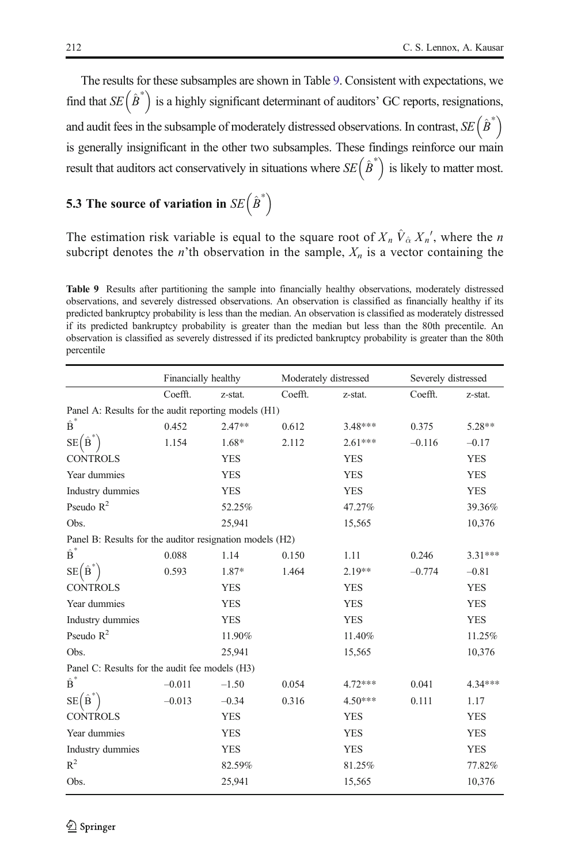The results for these subsamples are shown in Table 9. Consistent with expectations, we find that  $SE(\hat{B}^*)$  is a highly significant determinant of auditors' GC reports, resignations, and audit fees in the subsample of moderately distressed observations. In contrast,  $SE(\hat{B}^*)$ is generally insignificant in the other two subsamples. These findings reinforce our main result that auditors act conservatively in situations where  $SE(\hat{B}^*)$  is likely to matter most.

# 5.3 The source of variation in  $SE(\hat{B}^*)$

The estimation risk variable is equal to the square root of  $X_n \hat{V}_{\hat{\alpha}} X_n'$ , where the n subcript denotes the *n*'th observation in the sample,  $X_n$  is a vector containing the

Table 9 Results after partitioning the sample into financially healthy observations, moderately distressed observations, and severely distressed observations. An observation is classified as financially healthy if its predicted bankruptcy probability is less than the median. An observation is classified as moderately distressed if its predicted bankruptcy probability is greater than the median but less than the 80th precentile. An observation is classified as severely distressed if its predicted bankruptcy probability is greater than the 80th percentile

|                                                          | Financially healthy |            |         | Moderately distressed | Severely distressed |            |
|----------------------------------------------------------|---------------------|------------|---------|-----------------------|---------------------|------------|
|                                                          | Coefft.             | z-stat.    | Coefft. | z-stat.               | Coefft.             | z-stat.    |
| Panel A: Results for the audit reporting models (H1)     |                     |            |         |                       |                     |            |
| $\hat{\textbf{B}}^*$                                     | 0.452               | $2.47**$   | 0.612   | $3.48***$             | 0.375               | 5.28**     |
| $SE(B^*)$                                                | 1.154               | 1.68*      | 2.112   | $2.61***$             | $-0.116$            | $-0.17$    |
| <b>CONTROLS</b>                                          |                     | <b>YES</b> |         | <b>YES</b>            |                     | <b>YES</b> |
| Year dummies                                             |                     | <b>YES</b> |         | <b>YES</b>            |                     | <b>YES</b> |
| Industry dummies                                         |                     | <b>YES</b> |         | <b>YES</b>            |                     | <b>YES</b> |
| Pseudo $R^2$                                             |                     | 52.25%     |         | 47.27%                |                     | 39.36%     |
| Obs.                                                     |                     | 25.941     |         | 15,565                |                     | 10,376     |
| Panel B: Results for the auditor resignation models (H2) |                     |            |         |                       |                     |            |
| $\hat{\mathbf{B}}^*$                                     | 0.088               | 1.14       | 0.150   | 1.11                  | 0.246               | $3.31***$  |
| SE(B)                                                    | 0.593               | 1.87*      | 1.464   | $2.19**$              | $-0.774$            | $-0.81$    |
| <b>CONTROLS</b>                                          |                     | <b>YES</b> |         | <b>YES</b>            |                     | <b>YES</b> |
| Year dummies                                             |                     | <b>YES</b> |         | <b>YES</b>            |                     | <b>YES</b> |
| Industry dummies                                         |                     | <b>YES</b> |         | <b>YES</b>            |                     | <b>YES</b> |
| Pseudo $R^2$                                             |                     | 11.90%     |         | 11.40%                |                     | 11.25%     |
| Obs.                                                     |                     | 25,941     |         | 15,565                |                     | 10,376     |
| Panel C: Results for the audit fee models (H3)           |                     |            |         |                       |                     |            |
| $\hat{\text{B}}^*$                                       | $-0.011$            | $-1.50$    | 0.054   | 4.72***               | 0.041               | 4.34***    |
| $SE(B^{\dagger})$                                        | $-0.013$            | $-0.34$    | 0.316   | $4.50***$             | 0.111               | 1.17       |
| <b>CONTROLS</b>                                          |                     | <b>YES</b> |         | <b>YES</b>            |                     | <b>YES</b> |
| Year dummies                                             |                     | <b>YES</b> |         | <b>YES</b>            |                     | <b>YES</b> |
| Industry dummies                                         |                     | <b>YES</b> |         | <b>YES</b>            |                     | <b>YES</b> |
| $R^2$                                                    |                     | 82.59%     |         | 81.25%                |                     | 77.82%     |
| Obs.                                                     |                     | 25,941     |         | 15,565                |                     | 10,376     |
|                                                          |                     |            |         |                       |                     |            |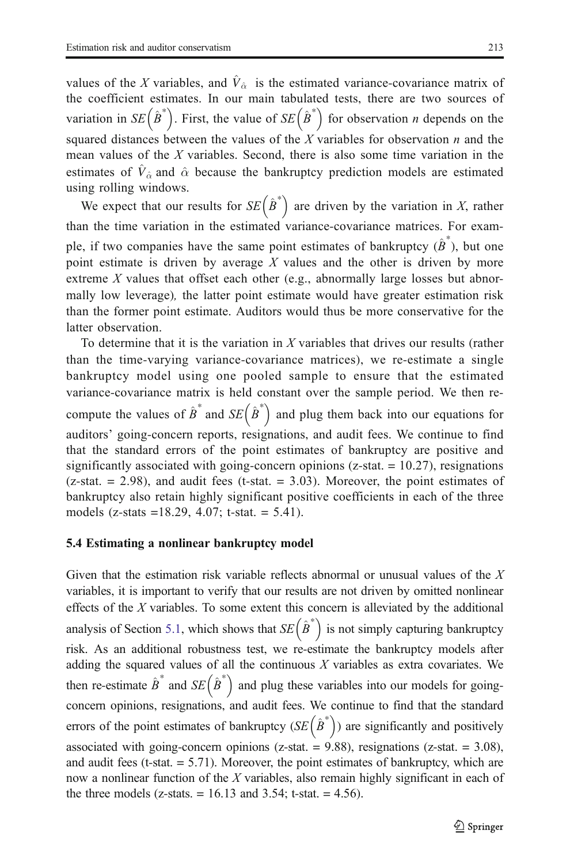values of the X variables, and  $\hat{V}_{\hat{\alpha}}$  is the estimated variance-covariance matrix of the coefficient estimates. In our main tabulated tests, there are two sources of variation in  $SE(\hat{B}^*)$ . First, the value of  $SE(\hat{B}^*)$  for observation *n* depends on the squared distances between the values of the X variables for observation  $n$  and the mean values of the  $X$  variables. Second, there is also some time variation in the estimates of  $\hat{V}_{\hat{\alpha}}$  and  $\hat{\alpha}$  because the bankruptcy prediction models are estimated using rolling windows.

We expect that our results for  $SE(\hat{B}^*)$  are driven by the variation in X, rather than the time variation in the estimated variance-covariance matrices. For example, if two companies have the same point estimates of bankruptcy  $(\hat{B}^*)$ , but one point estimate is driven by average  $X$  values and the other is driven by more extreme  $X$  values that offset each other (e.g., abnormally large losses but abnormally low leverage), the latter point estimate would have greater estimation risk than the former point estimate. Auditors would thus be more conservative for the latter observation.

To determine that it is the variation in X variables that drives our results (rather than the time-varying variance-covariance matrices), we re-estimate a single bankruptcy model using one pooled sample to ensure that the estimated variance-covariance matrix is held constant over the sample period. We then recompute the values of  $\hat{B}^*$  and  $SE (\hat{B}^*)$  and plug them back into our equations for auditors' going-concern reports, resignations, and audit fees. We continue to find that the standard errors of the point estimates of bankruptcy are positive and significantly associated with going-concern opinions ( $z$ -stat.  $= 10.27$ ), resignations  $(z-stat. = 2.98)$ , and audit fees (t-stat.  $= 3.03$ ). Moreover, the point estimates of bankruptcy also retain highly significant positive coefficients in each of the three models (z-stats =18.29, 4.07; t-stat. = 5.41).

#### 5.4 Estimating a nonlinear bankruptcy model

Given that the estimation risk variable reflects abnormal or unusual values of the  $X$ variables, it is important to verify that our results are not driven by omitted nonlinear effects of the  $X$  variables. To some extent this concern is alleviated by the additional analysis of Section [5.1,](#page-25-0) which shows that  $SE(\hat{B}^*)$  is not simply capturing bankruptcy risk. As an additional robustness test, we re-estimate the bankruptcy models after adding the squared values of all the continuous  $X$  variables as extra covariates. We then re-estimate  $\hat{B}^*$  and  $SE (\hat{B}^*)$  and plug these variables into our models for goingconcern opinions, resignations, and audit fees. We continue to find that the standard errors of the point estimates of bankruptcy  $(SE(\hat{B}^*))$  are significantly and positively associated with going-concern opinions ( $z$ -stat. = 9.88), resignations ( $z$ -stat. = 3.08), and audit fees (t-stat.  $= 5.71$ ). Moreover, the point estimates of bankruptcy, which are now a nonlinear function of the  $X$  variables, also remain highly significant in each of the three models (z-stats.  $= 16.13$  and 3.54; t-stat.  $= 4.56$ ).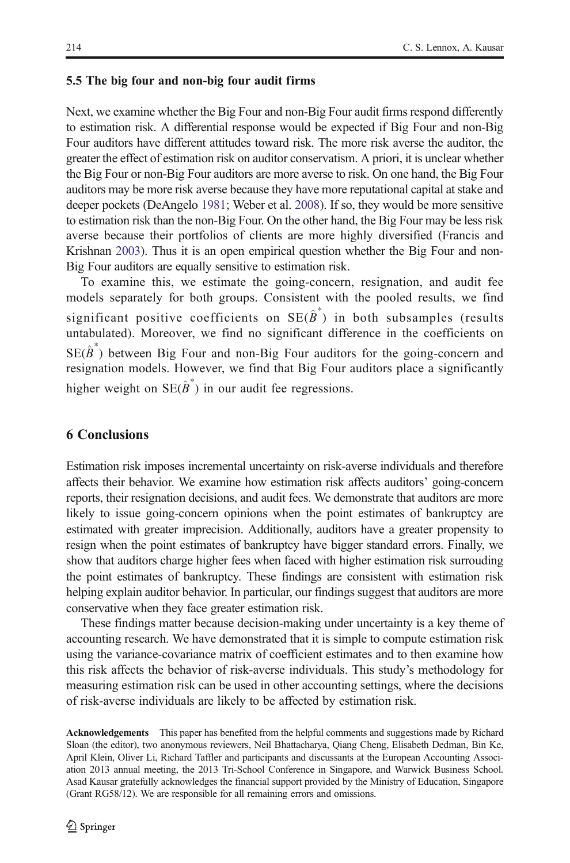#### 5.5 The big four and non-big four audit firms

Next, we examine whether the Big Four and non-Big Four audit firms respond differently to estimation risk. A differential response would be expected if Big Four and non-Big Four auditors have different attitudes toward risk. The more risk averse the auditor, the greater the effect of estimation risk on auditor conservatism. A priori, it is unclear whether the Big Four or non-Big Four auditors are more averse to risk. On one hand, the Big Four auditors may be more risk averse because they have more reputational capital at stake and deeper pockets (DeAngelo [1981](#page-30-0); Weber et al. [2008\)](#page-31-0). If so, they would be more sensitive to estimation risk than the non-Big Four. On the other hand, the Big Four may be less risk averse because their portfolios of clients are more highly diversified (Francis and Krishnan [2003](#page-30-0)). Thus it is an open empirical question whether the Big Four and non-Big Four auditors are equally sensitive to estimation risk.

To examine this, we estimate the going-concern, resignation, and audit fee models separately for both groups. Consistent with the pooled results, we find significant positive coefficients on  $\text{SE}(\hat{B}^*)$  in both subsamples (results untabulated). Moreover, we find no significant difference in the coefficients on  $SE(\hat{B}^*)$  between Big Four and non-Big Four auditors for the going-concern and resignation models. However, we find that Big Four auditors place a significantly higher weight on  $SE(\hat{B}^*)$  in our audit fee regressions.

#### 6 Conclusions

Estimation risk imposes incremental uncertainty on risk-averse individuals and therefore affects their behavior. We examine how estimation risk affects auditors' going-concern reports, their resignation decisions, and audit fees. We demonstrate that auditors are more likely to issue going-concern opinions when the point estimates of bankruptcy are estimated with greater imprecision. Additionally, auditors have a greater propensity to resign when the point estimates of bankruptcy have bigger standard errors. Finally, we show that auditors charge higher fees when faced with higher estimation risk surrouding the point estimates of bankruptcy. These findings are consistent with estimation risk helping explain auditor behavior. In particular, our findings suggest that auditors are more conservative when they face greater estimation risk.

These findings matter because decision-making under uncertainty is a key theme of accounting research. We have demonstrated that it is simple to compute estimation risk using the variance-covariance matrix of coefficient estimates and to then examine how this risk affects the behavior of risk-averse individuals. This study's methodology for measuring estimation risk can be used in other accounting settings, where the decisions of risk-averse individuals are likely to be affected by estimation risk.

Acknowledgements This paper has benefited from the helpful comments and suggestions made by Richard Sloan (the editor), two anonymous reviewers, Neil Bhattacharya, Qiang Cheng, Elisabeth Dedman, Bin Ke, April Klein, Oliver Li, Richard Taffler and participants and discussants at the European Accounting Association 2013 annual meeting, the 2013 Tri-School Conference in Singapore, and Warwick Business School. Asad Kausar gratefully acknowledges the financial support provided by the Ministry of Education, Singapore (Grant RG58/12). We are responsible for all remaining errors and omissions.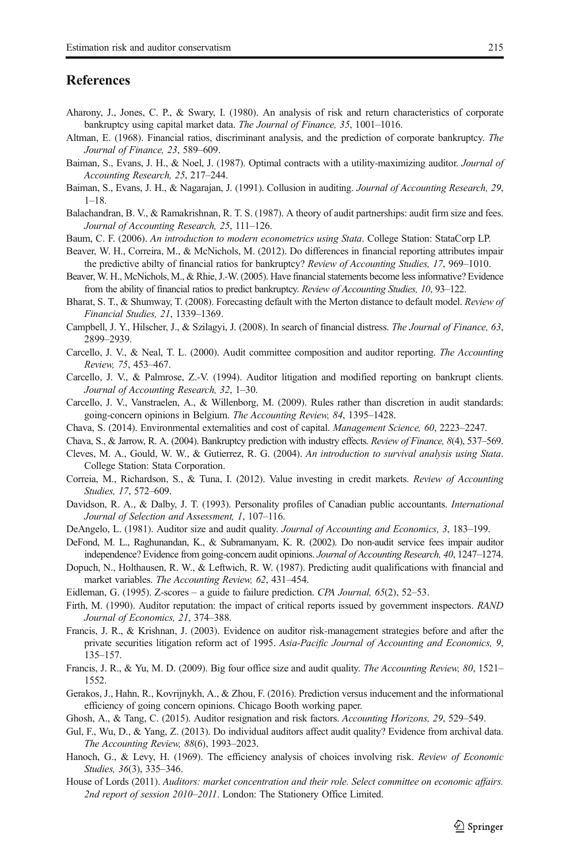#### <span id="page-30-0"></span>**References**

- Aharony, J., Jones, C. P., & Swary, I. (1980). An analysis of risk and return characteristics of corporate bankruptcy using capital market data. The Journal of Finance, 35, 1001–1016.
- Altman, E. (1968). Financial ratios, discriminant analysis, and the prediction of corporate bankruptcy. The Journal of Finance, 23, 589–609.
- Baiman, S., Evans, J. H., & Noel, J. (1987). Optimal contracts with a utility-maximizing auditor. *Journal of* Accounting Research, 25, 217–244.
- Baiman, S., Evans, J. H., & Nagarajan, J. (1991). Collusion in auditing. Journal of Accounting Research, 29,  $1 - 18$
- Balachandran, B. V., & Ramakrishnan, R. T. S. (1987). A theory of audit partnerships: audit firm size and fees. Journal of Accounting Research, 25, 111–126.
- Baum, C. F. (2006). An introduction to modern econometrics using Stata. College Station: StataCorp LP.
- Beaver, W. H., Correira, M., & McNichols, M. (2012). Do differences in financial reporting attributes impair the predictive abilty of financial ratios for bankruptcy? Review of Accounting Studies, 17, 969–1010.
- Beaver, W. H., McNichols, M., & Rhie, J.-W. (2005). Have financial statements become less informative? Evidence from the ability of financial ratios to predict bankruptcy. Review of Accounting Studies, 10, 93–122.
- Bharat, S. T., & Shumway, T. (2008). Forecasting default with the Merton distance to default model. Review of Financial Studies, 21, 1339–1369.
- Campbell, J. Y., Hilscher, J., & Szilagyi, J. (2008). In search of financial distress. The Journal of Finance, 63, 2899–2939.
- Carcello, J. V., & Neal, T. L. (2000). Audit committee composition and auditor reporting. The Accounting Review, 75, 453–467.
- Carcello, J. V., & Palmrose, Z.-V. (1994). Auditor litigation and modified reporting on bankrupt clients. Journal of Accounting Research, 32, 1–30.
- Carcello, J. V., Vanstraelen, A., & Willenborg, M. (2009). Rules rather than discretion in audit standards: going-concern opinions in Belgium. The Accounting Review, 84, 1395–1428.
- Chava, S. (2014). Environmental externalities and cost of capital. Management Science, 60, 2223–2247.
- Chava, S., & Jarrow, R. A. (2004). Bankruptcy prediction with industry effects. Review of Finance, 8(4), 537–569.
- Cleves, M. A., Gould, W. W., & Gutierrez, R. G. (2004). An introduction to survival analysis using Stata. College Station: Stata Corporation.
- Correia, M., Richardson, S., & Tuna, I. (2012). Value investing in credit markets. Review of Accounting Studies, 17, 572–609.
- Davidson, R. A., & Dalby, J. T. (1993). Personality profiles of Canadian public accountants. International Journal of Selection and Assessment, 1, 107–116.
- DeAngelo, L. (1981). Auditor size and audit quality. Journal of Accounting and Economics, 3, 183-199.
- DeFond, M. L., Raghunandan, K., & Subramanyam, K. R. (2002). Do non-audit service fees impair auditor independence? Evidence from going-concern audit opinions. Journal of Accounting Research, 40, 1247–1274.
- Dopuch, N., Holthausen, R. W., & Leftwich, R. W. (1987). Predicting audit qualifications with financial and market variables. The Accounting Review, 62, 431–454.
- Eidleman, G. (1995). Z-scores a guide to failure prediction. CPA Journal,  $65(2)$ ,  $52-53$ .
- Firth, M. (1990). Auditor reputation: the impact of critical reports issued by government inspectors. RAND Journal of Economics, 21, 374–388.
- Francis, J. R., & Krishnan, J. (2003). Evidence on auditor risk-management strategies before and after the private securities litigation reform act of 1995. Asia-Pacific Journal of Accounting and Economics, 9, 135–157.
- Francis, J. R., & Yu, M. D. (2009). Big four office size and audit quality. The Accounting Review, 80, 1521– 1552.
- Gerakos, J., Hahn, R., Kovrijnykh, A., & Zhou, F. (2016). Prediction versus inducement and the informational efficiency of going concern opinions. Chicago Booth working paper.
- Ghosh, A., & Tang, C. (2015). Auditor resignation and risk factors. Accounting Horizons, 29, 529–549.
- Gul, F., Wu, D., & Yang, Z. (2013). Do individual auditors affect audit quality? Evidence from archival data. The Accounting Review, 88(6), 1993–2023.
- Hanoch, G., & Levy, H. (1969). The efficiency analysis of choices involving risk. Review of Economic Studies, 36(3), 335–346.
- House of Lords (2011). Auditors: market concentration and their role. Select committee on economic affairs. 2nd report of session 2010–2011. London: The Stationery Office Limited.